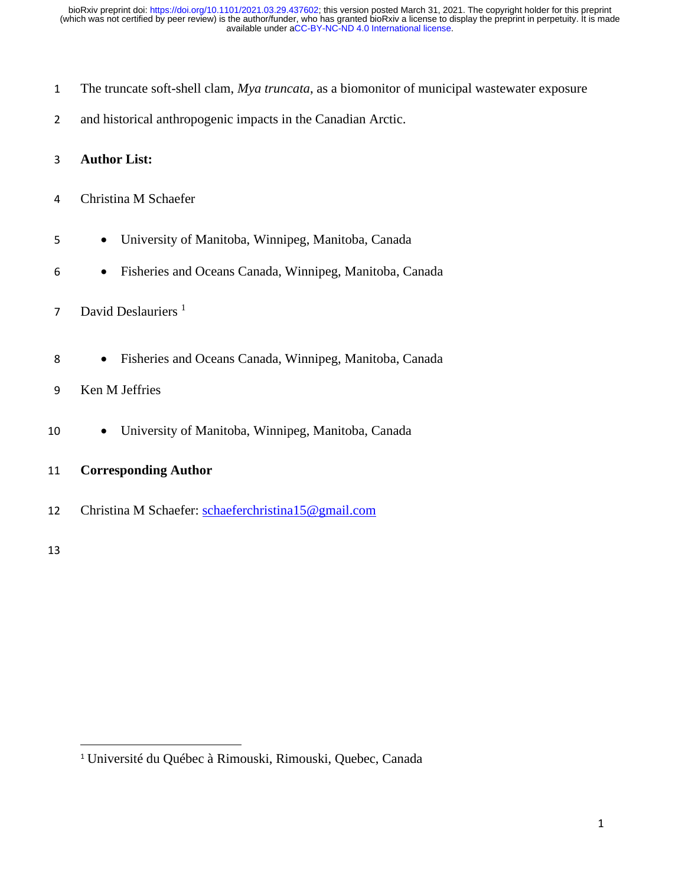- The truncate soft-shell clam, *Mya truncata*, as a biomonitor of municipal wastewater exposure
- and historical anthropogenic impacts in the Canadian Arctic.

### **Author List:**

- Christina M Schaefer
- University of Manitoba, Winnipeg, Manitoba, Canada
- Fisheries and Oceans Canada, Winnipeg, Manitoba, Canada
- David Deslauriers<sup>1</sup>
- Fisheries and Oceans Canada, Winnipeg, Manitoba, Canada
- Ken M Jeffries
- University of Manitoba, Winnipeg, Manitoba, Canada
- **Corresponding Author**
- Christina M Schaefer: [schaeferchristina15@gmail.com](mailto:schaeferchristina15@gmail.com)

[Université](https://www.researchgate.net/institution/Universite_du_Quebec_a_Rimouski_UQAR) du Québec à Rimouski, Rimouski, Quebec, Canada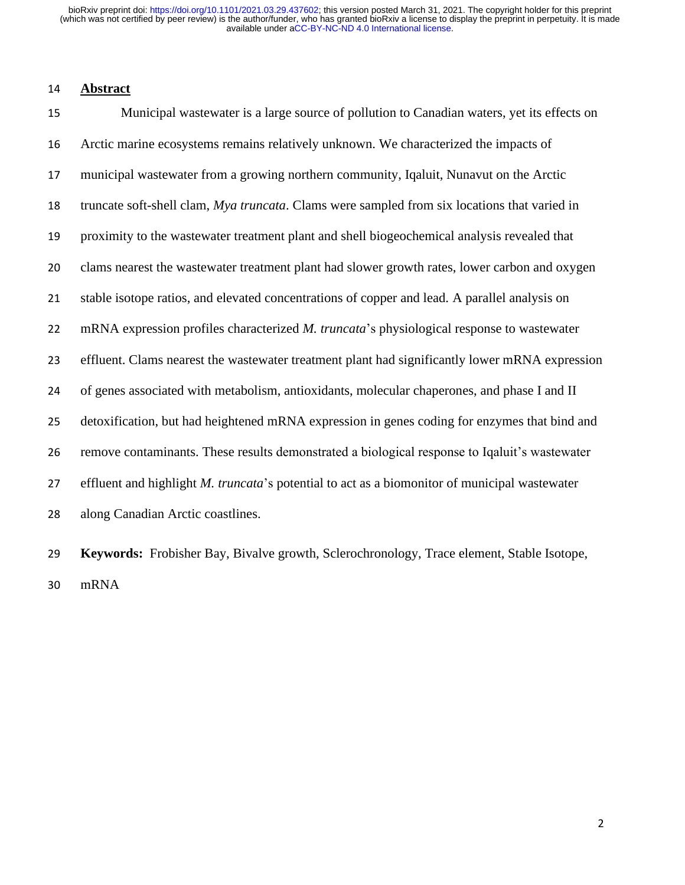#### **Abstract**

 Municipal wastewater is a large source of pollution to Canadian waters, yet its effects on Arctic marine ecosystems remains relatively unknown. We characterized the impacts of municipal wastewater from a growing northern community, Iqaluit, Nunavut on the Arctic truncate soft-shell clam, *Mya truncata*. Clams were sampled from six locations that varied in proximity to the wastewater treatment plant and shell biogeochemical analysis revealed that clams nearest the wastewater treatment plant had slower growth rates, lower carbon and oxygen stable isotope ratios, and elevated concentrations of copper and lead. A parallel analysis on mRNA expression profiles characterized *M. truncata*'s physiological response to wastewater effluent. Clams nearest the wastewater treatment plant had significantly lower mRNA expression of genes associated with metabolism, antioxidants, molecular chaperones, and phase I and II detoxification, but had heightened mRNA expression in genes coding for enzymes that bind and remove contaminants. These results demonstrated a biological response to Iqaluit's wastewater effluent and highlight *M. truncata*'s potential to act as a biomonitor of municipal wastewater along Canadian Arctic coastlines.

 **Keywords:** Frobisher Bay, Bivalve growth, Sclerochronology, Trace element, Stable Isotope, mRNA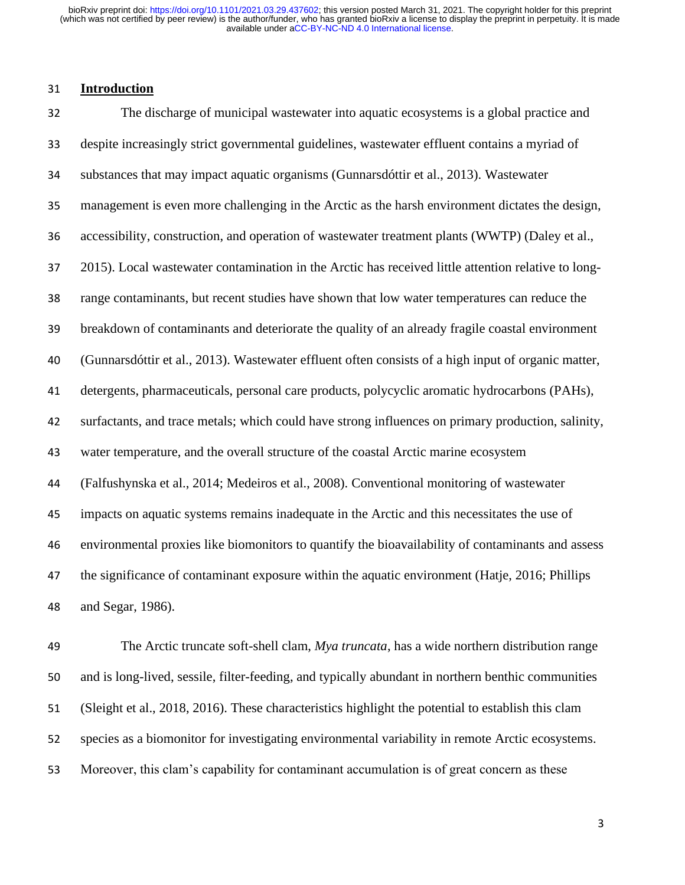#### **Introduction**

 The discharge of municipal wastewater into aquatic ecosystems is a global practice and despite increasingly strict governmental guidelines, wastewater effluent contains a myriad of substances that may impact aquatic organisms (Gunnarsdóttir et al., 2013). Wastewater management is even more challenging in the Arctic as the harsh environment dictates the design, accessibility, construction, and operation of wastewater treatment plants (WWTP) (Daley et al., 2015). Local wastewater contamination in the Arctic has received little attention relative to long- range contaminants, but recent studies have shown that low water temperatures can reduce the breakdown of contaminants and deteriorate the quality of an already fragile coastal environment (Gunnarsdóttir et al., 2013). Wastewater effluent often consists of a high input of organic matter, detergents, pharmaceuticals, personal care products, polycyclic aromatic hydrocarbons (PAHs), surfactants, and trace metals; which could have strong influences on primary production, salinity, water temperature, and the overall structure of the coastal Arctic marine ecosystem (Falfushynska et al., 2014; Medeiros et al., 2008). Conventional monitoring of wastewater impacts on aquatic systems remains inadequate in the Arctic and this necessitates the use of environmental proxies like biomonitors to quantify the bioavailability of contaminants and assess the significance of contaminant exposure within the aquatic environment (Hatje, 2016; Phillips and Segar, 1986).

 The Arctic truncate soft-shell clam, *Mya truncata*, has a wide northern distribution range and is long-lived, sessile, filter-feeding, and typically abundant in northern benthic communities (Sleight et al., 2018, 2016). These characteristics highlight the potential to establish this clam species as a biomonitor for investigating environmental variability in remote Arctic ecosystems. Moreover, this clam's capability for contaminant accumulation is of great concern as these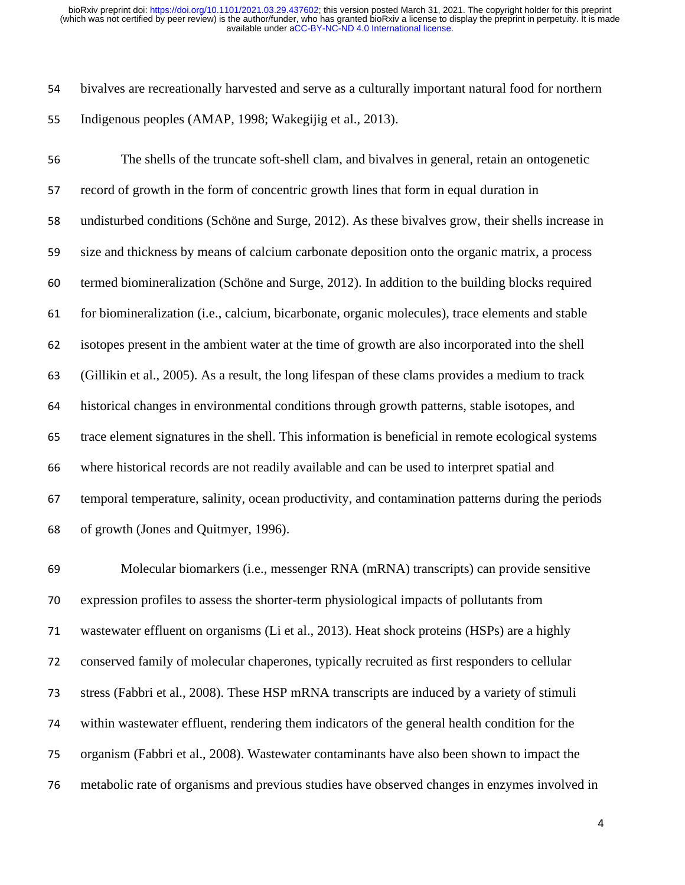bivalves are recreationally harvested and serve as a culturally important natural food for northern Indigenous peoples (AMAP, 1998; Wakegijig et al., 2013).

 The shells of the truncate soft-shell clam, and bivalves in general, retain an ontogenetic record of growth in the form of concentric growth lines that form in equal duration in undisturbed conditions (Schöne and Surge, 2012). As these bivalves grow, their shells increase in size and thickness by means of calcium carbonate deposition onto the organic matrix, a process termed biomineralization (Schöne and Surge, 2012). In addition to the building blocks required for biomineralization (i.e., calcium, bicarbonate, organic molecules), trace elements and stable isotopes present in the ambient water at the time of growth are also incorporated into the shell (Gillikin et al., 2005). As a result, the long lifespan of these clams provides a medium to track historical changes in environmental conditions through growth patterns, stable isotopes, and trace element signatures in the shell. This information is beneficial in remote ecological systems where historical records are not readily available and can be used to interpret spatial and temporal temperature, salinity, ocean productivity, and contamination patterns during the periods of growth (Jones and Quitmyer, 1996).

 Molecular biomarkers (i.e., messenger RNA (mRNA) transcripts) can provide sensitive expression profiles to assess the shorter-term physiological impacts of pollutants from wastewater effluent on organisms (Li et al., 2013). Heat shock proteins (HSPs) are a highly conserved family of molecular chaperones, typically recruited as first responders to cellular stress (Fabbri et al., 2008). These HSP mRNA transcripts are induced by a variety of stimuli within wastewater effluent, rendering them indicators of the general health condition for the organism (Fabbri et al., 2008). Wastewater contaminants have also been shown to impact the metabolic rate of organisms and previous studies have observed changes in enzymes involved in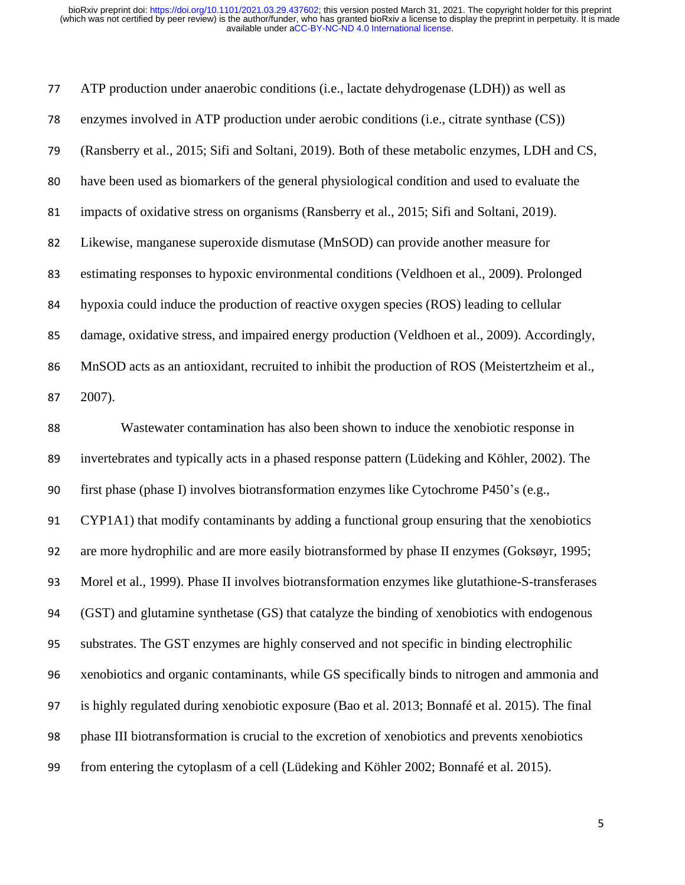| 77 | ATP production under anaerobic conditions (i.e., lactate dehydrogenase (LDH)) as well as         |
|----|--------------------------------------------------------------------------------------------------|
| 78 | enzymes involved in ATP production under aerobic conditions (i.e., citrate synthase (CS))        |
| 79 | (Ransberry et al., 2015; Sifi and Soltani, 2019). Both of these metabolic enzymes, LDH and CS,   |
| 80 | have been used as biomarkers of the general physiological condition and used to evaluate the     |
| 81 | impacts of oxidative stress on organisms (Ransberry et al., 2015; Sifi and Soltani, 2019).       |
| 82 | Likewise, manganese superoxide dismutase (MnSOD) can provide another measure for                 |
| 83 | estimating responses to hypoxic environmental conditions (Veldhoen et al., 2009). Prolonged      |
| 84 | hypoxia could induce the production of reactive oxygen species (ROS) leading to cellular         |
| 85 | damage, oxidative stress, and impaired energy production (Veldhoen et al., 2009). Accordingly,   |
| 86 | MnSOD acts as an antioxidant, recruited to inhibit the production of ROS (Meistertzheim et al.,  |
| 87 | 2007).                                                                                           |
| 88 | Wastewater contamination has also been shown to induce the xenobiotic response in                |
| 89 | invertebrates and typically acts in a phased response pattern (Lüdeking and Köhler, 2002). The   |
| 90 | first phase (phase I) involves biotransformation enzymes like Cytochrome P450's (e.g.,           |
| 91 | CYP1A1) that modify contaminants by adding a functional group ensuring that the xenobiotics      |
| 92 | are more hydrophilic and are more easily biotransformed by phase II enzymes (Goksøyr, 1995;      |
| 93 | Morel et al., 1999). Phase II involves biotransformation enzymes like glutathione-S-transferases |
| 94 | (GST) and glutamine synthetase (GS) that catalyze the binding of xenobiotics with endogenous     |
| 95 | substrates. The GST enzymes are highly conserved and not specific in binding electrophilic       |
| 96 | xenobiotics and organic contaminants, while GS specifically binds to nitrogen and ammonia and    |
| 97 | is highly regulated during xenobiotic exposure (Bao et al. 2013; Bonnafé et al. 2015). The final |
| 98 | phase III biotransformation is crucial to the excretion of xenobiotics and prevents xenobiotics  |
| 99 | from entering the cytoplasm of a cell (Lüdeking and Köhler 2002; Bonnafé et al. 2015).           |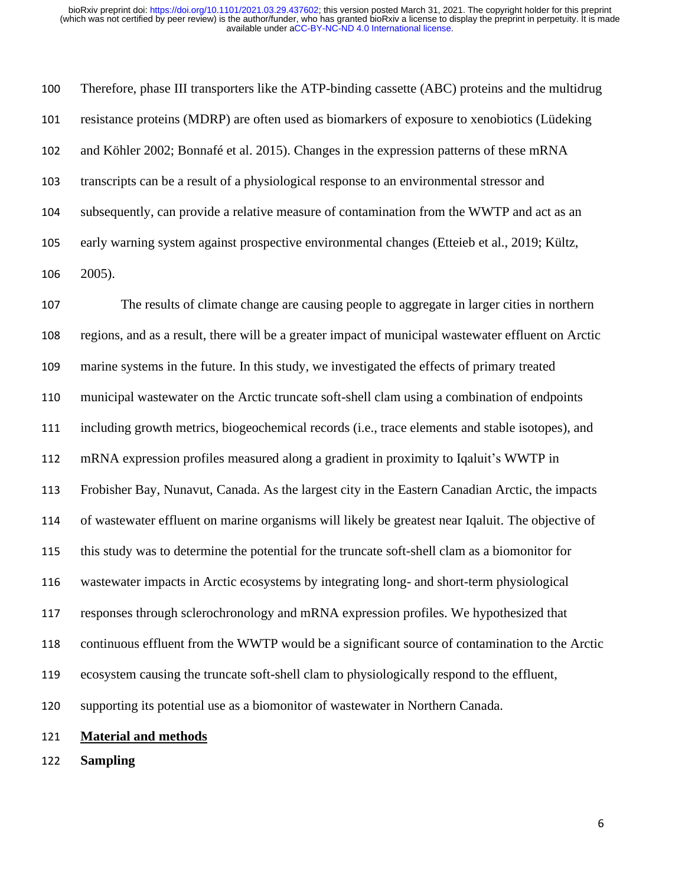Therefore, phase III transporters like the ATP-binding cassette (ABC) proteins and the multidrug resistance proteins (MDRP) are often used as biomarkers of exposure to xenobiotics (Lüdeking and Köhler 2002; Bonnafé et al. 2015). Changes in the expression patterns of these mRNA transcripts can be a result of a physiological response to an environmental stressor and subsequently, can provide a relative measure of contamination from the WWTP and act as an early warning system against prospective environmental changes (Etteieb et al., 2019; Kültz, 2005).

 The results of climate change are causing people to aggregate in larger cities in northern regions, and as a result, there will be a greater impact of municipal wastewater effluent on Arctic marine systems in the future. In this study, we investigated the effects of primary treated municipal wastewater on the Arctic truncate soft-shell clam using a combination of endpoints including growth metrics, biogeochemical records (i.e., trace elements and stable isotopes), and mRNA expression profiles measured along a gradient in proximity to Iqaluit's WWTP in Frobisher Bay, Nunavut, Canada. As the largest city in the Eastern Canadian Arctic, the impacts of wastewater effluent on marine organisms will likely be greatest near Iqaluit. The objective of this study was to determine the potential for the truncate soft-shell clam as a biomonitor for wastewater impacts in Arctic ecosystems by integrating long- and short-term physiological responses through sclerochronology and mRNA expression profiles. We hypothesized that continuous effluent from the WWTP would be a significant source of contamination to the Arctic ecosystem causing the truncate soft-shell clam to physiologically respond to the effluent, supporting its potential use as a biomonitor of wastewater in Northern Canada. **Material and methods**

**Sampling**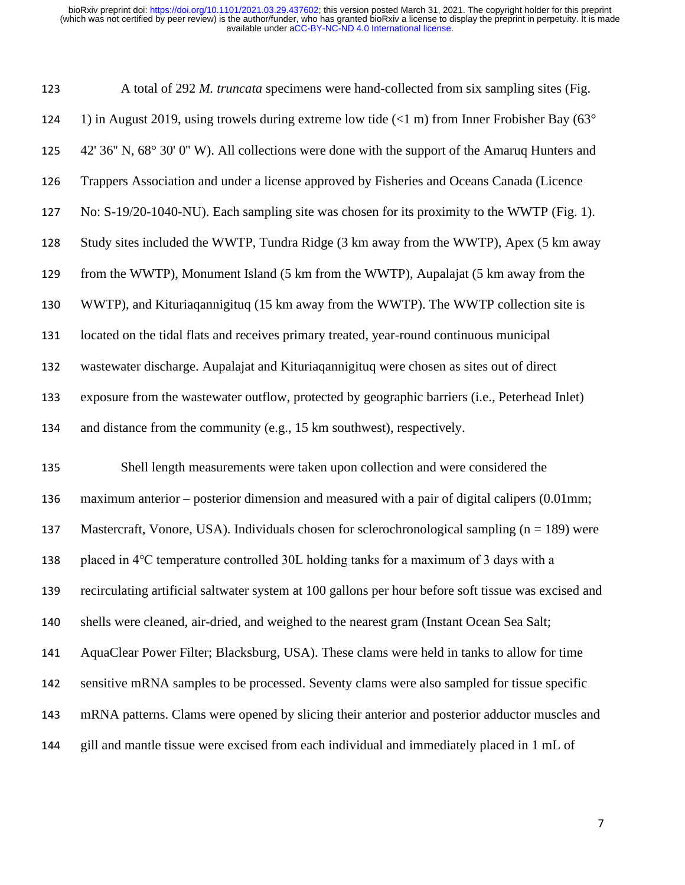| 123 | A total of 292 M. truncata specimens were hand-collected from six sampling sites (Fig.               |
|-----|------------------------------------------------------------------------------------------------------|
| 124 | 1) in August 2019, using trowels during extreme low tide $(<1 m)$ from Inner Frobisher Bay (63°      |
| 125 | 42' 36" N, 68° 30' 0" W). All collections were done with the support of the Amaruq Hunters and       |
| 126 | Trappers Association and under a license approved by Fisheries and Oceans Canada (Licence            |
| 127 | No: S-19/20-1040-NU). Each sampling site was chosen for its proximity to the WWTP (Fig. 1).          |
| 128 | Study sites included the WWTP, Tundra Ridge (3 km away from the WWTP), Apex (5 km away               |
| 129 | from the WWTP), Monument Island (5 km from the WWTP), Aupalajat (5 km away from the                  |
| 130 | WWTP), and Kituriaqannigituq (15 km away from the WWTP). The WWTP collection site is                 |
| 131 | located on the tidal flats and receives primary treated, year-round continuous municipal             |
| 132 | wastewater discharge. Aupalajat and Kituriaqannigituq were chosen as sites out of direct             |
| 133 | exposure from the wastewater outflow, protected by geographic barriers (i.e., Peterhead Inlet)       |
|     |                                                                                                      |
| 134 | and distance from the community (e.g., 15 km southwest), respectively.                               |
| 135 | Shell length measurements were taken upon collection and were considered the                         |
| 136 | maximum anterior – posterior dimension and measured with a pair of digital calipers (0.01mm;         |
| 137 | Mastercraft, Vonore, USA). Individuals chosen for sclerochronological sampling $(n = 189)$ were      |
| 138 | placed in 4°C temperature controlled 30L holding tanks for a maximum of 3 days with a                |
| 139 | recirculating artificial saltwater system at 100 gallons per hour before soft tissue was excised and |
| 140 | shells were cleaned, air-dried, and weighed to the nearest gram (Instant Ocean Sea Salt;             |
| 141 | AquaClear Power Filter; Blacksburg, USA). These clams were held in tanks to allow for time           |
| 142 | sensitive mRNA samples to be processed. Seventy clams were also sampled for tissue specific          |
| 143 | mRNA patterns. Clams were opened by slicing their anterior and posterior adductor muscles and        |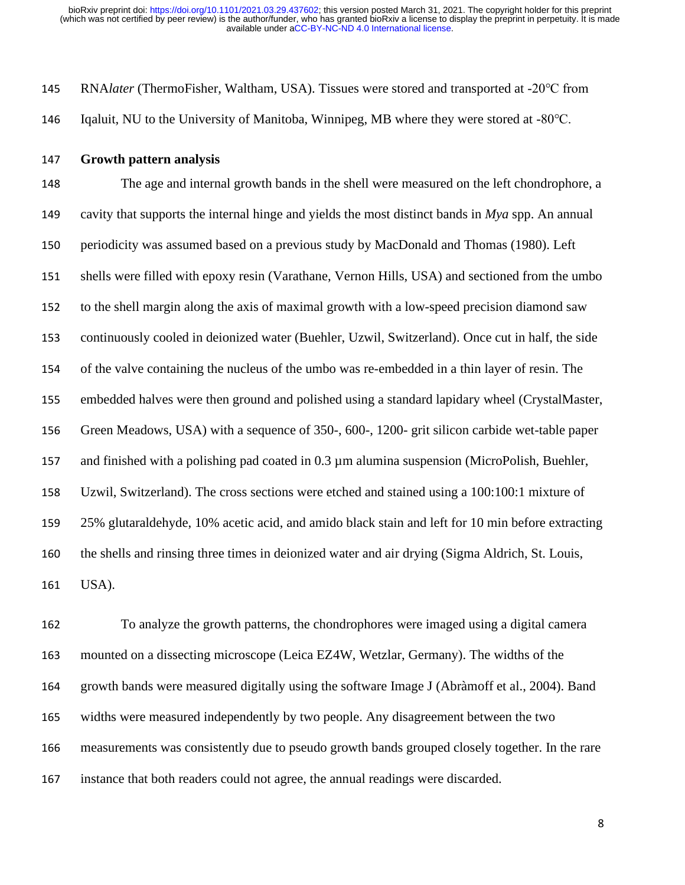RNA*later* (ThermoFisher, Waltham, USA). Tissues were stored and transported at -20℃ from Iqaluit, NU to the University of Manitoba, Winnipeg, MB where they were stored at -80℃.

**Growth pattern analysis** 

 The age and internal growth bands in the shell were measured on the left chondrophore, a cavity that supports the internal hinge and yields the most distinct bands in *Mya* spp. An annual periodicity was assumed based on a previous study by MacDonald and Thomas (1980). Left shells were filled with epoxy resin (Varathane, Vernon Hills, USA) and sectioned from the umbo to the shell margin along the axis of maximal growth with a low-speed precision diamond saw continuously cooled in deionized water (Buehler, Uzwil, Switzerland). Once cut in half, the side of the valve containing the nucleus of the umbo was re-embedded in a thin layer of resin. The embedded halves were then ground and polished using a standard lapidary wheel (CrystalMaster, Green Meadows, USA) with a sequence of 350-, 600-, 1200- grit silicon carbide wet-table paper and finished with a polishing pad coated in 0.3 µm alumina suspension (MicroPolish, Buehler, Uzwil, Switzerland). The cross sections were etched and stained using a 100:100:1 mixture of 25% glutaraldehyde, 10% acetic acid, and amido black stain and left for 10 min before extracting the shells and rinsing three times in deionized water and air drying (Sigma Aldrich, St. Louis, USA).

 To analyze the growth patterns, the chondrophores were imaged using a digital camera mounted on a dissecting microscope (Leica EZ4W, Wetzlar, Germany). The widths of the growth bands were measured digitally using the software Image J (Abràmoff et al., 2004). Band widths were measured independently by two people. Any disagreement between the two measurements was consistently due to pseudo growth bands grouped closely together. In the rare instance that both readers could not agree, the annual readings were discarded.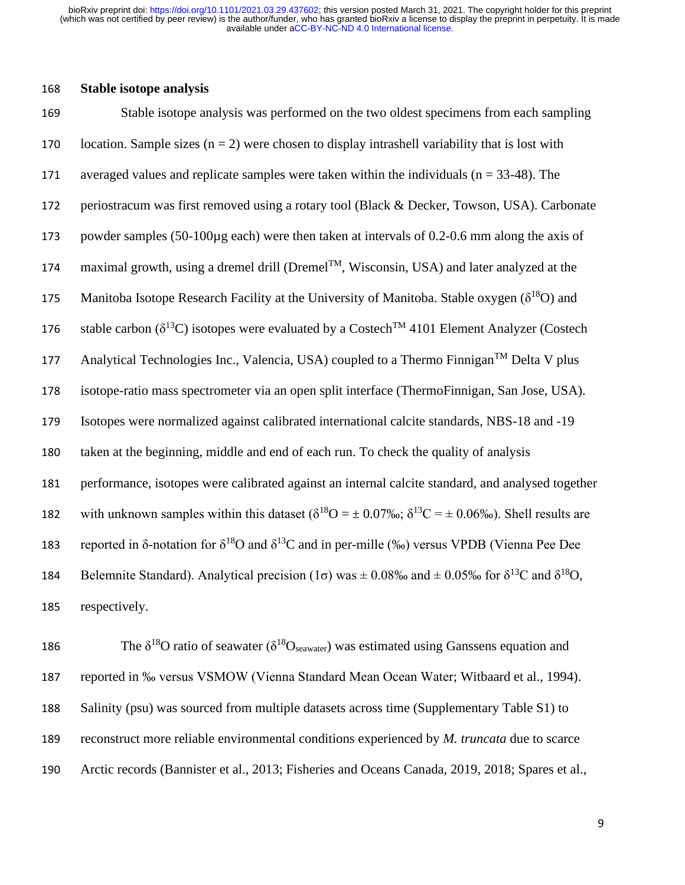#### 168 **Stable isotope analysis**

169 Stable isotope analysis was performed on the two oldest specimens from each sampling 170 location. Sample sizes  $(n = 2)$  were chosen to display intrashell variability that is lost with 171 averaged values and replicate samples were taken within the individuals (n = 33-48). The 172 periostracum was first removed using a rotary tool (Black & Decker, Towson, USA). Carbonate 173 powder samples (50-100µg each) were then taken at intervals of 0.2-0.6 mm along the axis of 174 maximal growth, using a dremel drill (Dremel<sup>TM</sup>, Wisconsin, USA) and later analyzed at the 175 Manitoba Isotope Research Facility at the University of Manitoba. Stable oxygen  $(\delta^{18}O)$  and 176 stable carbon ( $\delta^{13}$ C) isotopes were evaluated by a Costech<sup>TM</sup> 4101 Element Analyzer (Costech 177 Analytical Technologies Inc., Valencia, USA) coupled to a Thermo Finnigan<sup>TM</sup> Delta V plus 178 isotope-ratio mass spectrometer via an open split interface (ThermoFinnigan, San Jose, USA). 179 Isotopes were normalized against calibrated international calcite standards, NBS-18 and -19 180 taken at the beginning, middle and end of each run. To check the quality of analysis 181 performance, isotopes were calibrated against an internal calcite standard, and analysed together 182 with unknown samples within this dataset  $(\delta^{18}O = \pm 0.07\% \text{°C})$ ;  $\delta^{13}C = \pm 0.06\% \text{°C}$ . Shell results are 183 reported in δ-notation for  $\delta^{18}$ O and  $\delta^{13}$ C and in per-mille (‰) versus VPDB (Vienna Pee Dee 184 Belemnite Standard). Analytical precision (1 $\sigma$ ) was  $\pm$  0.08‰ and  $\pm$  0.05‰ for  $\delta^{13}C$  and  $\delta^{18}O$ , 185 respectively.

186 The  $\delta^{18}O$  ratio of seawater ( $\delta^{18}O_{\text{seawater}}$ ) was estimated using Ganssens equation and reported in ‰ versus VSMOW (Vienna Standard Mean Ocean Water; Witbaard et al., 1994). Salinity (psu) was sourced from multiple datasets across time (Supplementary Table S1) to reconstruct more reliable environmental conditions experienced by *M. truncata* due to scarce Arctic records (Bannister et al., 2013; Fisheries and Oceans Canada, 2019, 2018; Spares et al.,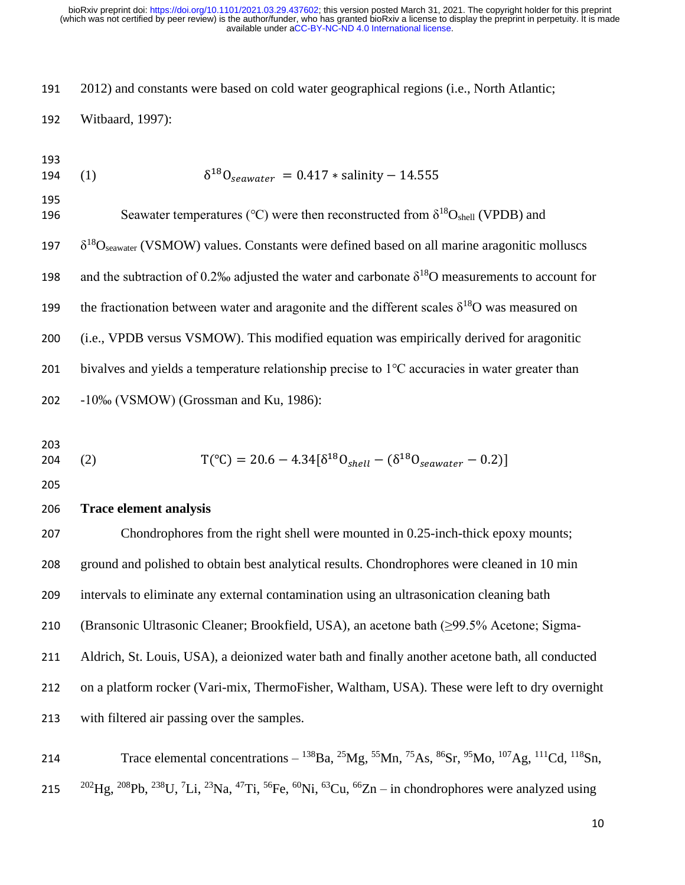2012) and constants were based on cold water geographical regions (i.e., North Atlantic;

Witbaard, 1997):

- $(1)$ 194 (1)  $\delta^{18}O_{\text{seawater}} = 0.417 * \text{salinity} - 14.555$
- 196 Seawater temperatures (°C) were then reconstructed from  $\delta^{18}O_{shell}$  (VPDB) and
- $197 \delta^{18}O_{seawater}$  (VSMOW) values. Constants were defined based on all marine aragonitic molluscs
- 198 and the subtraction of 0.2‰ adjusted the water and carbonate  $\delta^{18}O$  measurements to account for
- the fractionation between water and aragonite and the different scales  $\delta^{18}$ O was measured on
- (i.e., VPDB versus VSMOW). This modified equation was empirically derived for aragonitic
- bivalves and yields a temperature relationship precise to 1℃ accuracies in water greater than
- -10‰ (VSMOW) (Grossman and Ku, 1986):
- 

204 (2) 
$$
T({}^{\circ}C) = 20.6 - 4.34[\delta^{18}O_{shell} - (\delta^{18}O_{seawater} - 0.2)]
$$

#### **Trace element analysis**

 Chondrophores from the right shell were mounted in 0.25-inch-thick epoxy mounts; ground and polished to obtain best analytical results. Chondrophores were cleaned in 10 min intervals to eliminate any external contamination using an ultrasonication cleaning bath (Bransonic Ultrasonic Cleaner; Brookfield, USA), an acetone bath (≥99.5% Acetone; Sigma- Aldrich, St. Louis, USA), a deionized water bath and finally another acetone bath, all conducted on a platform rocker (Vari-mix, ThermoFisher, Waltham, USA). These were left to dry overnight with filtered air passing over the samples.

214 Trace elemental concentrations  $-$  <sup>138</sup>Ba, <sup>25</sup>Mg, <sup>55</sup>Mn, <sup>75</sup>As, <sup>86</sup>Sr, <sup>95</sup>Mo, <sup>107</sup>Ag, <sup>111</sup>Cd, <sup>118</sup>Sn, 215  $^{202}$ Hg,  $^{208}$ Pb,  $^{238}$ U,  $^{7}$ Li,  $^{23}$ Na,  $^{47}$ Ti,  $^{56}$ Fe,  $^{60}$ Ni,  $^{63}$ Cu,  $^{66}$ Zn – in chondrophores were analyzed using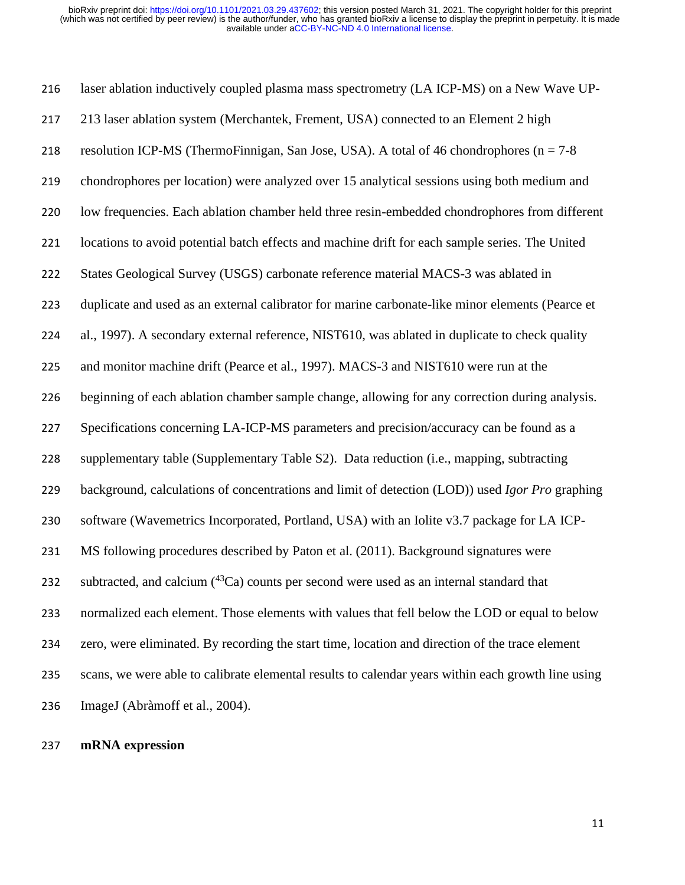laser ablation inductively coupled plasma mass spectrometry (LA ICP-MS) on a New Wave UP- 213 laser ablation system (Merchantek, Frement, USA) connected to an Element 2 high 218 resolution ICP-MS (ThermoFinnigan, San Jose, USA). A total of 46 chondrophores ( $n = 7-8$ ) chondrophores per location) were analyzed over 15 analytical sessions using both medium and low frequencies. Each ablation chamber held three resin-embedded chondrophores from different locations to avoid potential batch effects and machine drift for each sample series. The United States Geological Survey (USGS) carbonate reference material MACS-3 was ablated in duplicate and used as an external calibrator for marine carbonate-like minor elements (Pearce et al., 1997). A secondary external reference, NIST610, was ablated in duplicate to check quality and monitor machine drift (Pearce et al., 1997). MACS-3 and NIST610 were run at the beginning of each ablation chamber sample change, allowing for any correction during analysis. Specifications concerning LA-ICP-MS parameters and precision/accuracy can be found as a supplementary table (Supplementary Table S2). Data reduction (i.e., mapping, subtracting background, calculations of concentrations and limit of detection (LOD)) used *Igor Pro* graphing software (Wavemetrics Incorporated, Portland, USA) with an Iolite v3.7 package for LA ICP- MS following procedures described by Paton et al. (2011). Background signatures were 232 subtracted, and calcium  $(^{43}Ca)$  counts per second were used as an internal standard that normalized each element. Those elements with values that fell below the LOD or equal to below zero, were eliminated. By recording the start time, location and direction of the trace element scans, we were able to calibrate elemental results to calendar years within each growth line using ImageJ (Abràmoff et al., 2004).

### **mRNA expression**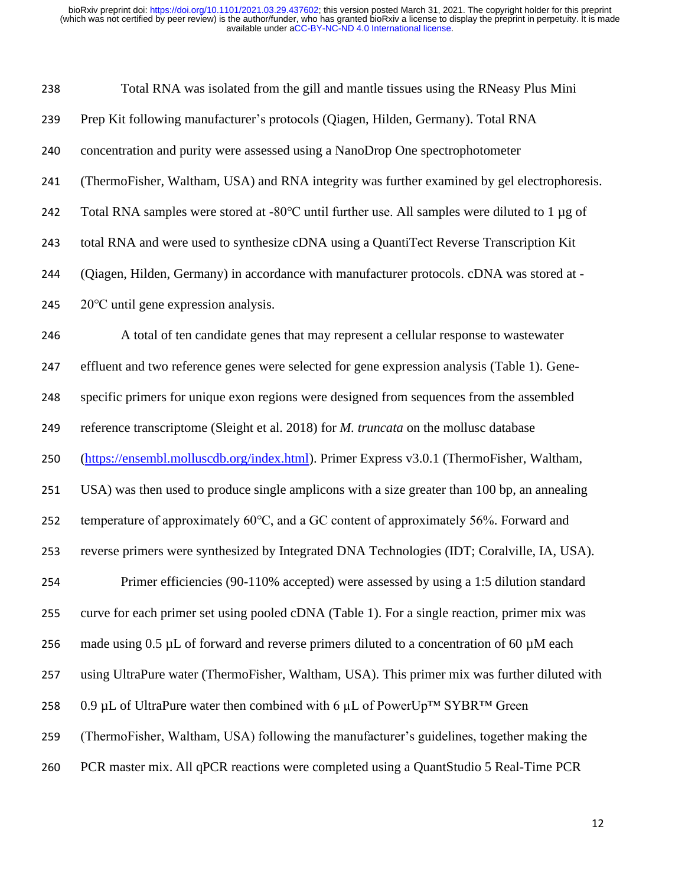| 238 | Total RNA was isolated from the gill and mantle tissues using the RNeasy Plus Mini                  |
|-----|-----------------------------------------------------------------------------------------------------|
| 239 | Prep Kit following manufacturer's protocols (Qiagen, Hilden, Germany). Total RNA                    |
| 240 | concentration and purity were assessed using a NanoDrop One spectrophotometer                       |
| 241 | (ThermoFisher, Waltham, USA) and RNA integrity was further examined by gel electrophoresis.         |
| 242 | Total RNA samples were stored at -80°C until further use. All samples were diluted to 1 µg of       |
| 243 | total RNA and were used to synthesize cDNA using a QuantiTect Reverse Transcription Kit             |
| 244 | (Qiagen, Hilden, Germany) in accordance with manufacturer protocols. cDNA was stored at -           |
| 245 | $20^{\circ}$ C until gene expression analysis.                                                      |
| 246 | A total of ten candidate genes that may represent a cellular response to wastewater                 |
| 247 | effluent and two reference genes were selected for gene expression analysis (Table 1). Gene-        |
| 248 | specific primers for unique exon regions were designed from sequences from the assembled            |
| 249 | reference transcriptome (Sleight et al. 2018) for <i>M. truncata</i> on the mollusc database        |
| 250 | (https://ensembl.molluscdb.org/index.html). Primer Express v3.0.1 (ThermoFisher, Waltham,           |
| 251 | USA) was then used to produce single amplicons with a size greater than 100 bp, an annealing        |
| 252 | temperature of approximately 60°C, and a GC content of approximately 56%. Forward and               |
| 253 | reverse primers were synthesized by Integrated DNA Technologies (IDT; Coralville, IA, USA).         |
| 254 | Primer efficiencies (90-110% accepted) were assessed by using a 1:5 dilution standard               |
| 255 | curve for each primer set using pooled cDNA (Table 1). For a single reaction, primer mix was        |
| 256 | made using $0.5 \mu L$ of forward and reverse primers diluted to a concentration of 60 $\mu$ M each |
| 257 | using UltraPure water (ThermoFisher, Waltham, USA). This primer mix was further diluted with        |
| 258 | 0.9 µL of UltraPure water then combined with 6 µL of PowerUp <sup>TM</sup> SYBR <sup>TM</sup> Green |
| 259 | (ThermoFisher, Waltham, USA) following the manufacturer's guidelines, together making the           |
| 260 | PCR master mix. All qPCR reactions were completed using a QuantStudio 5 Real-Time PCR               |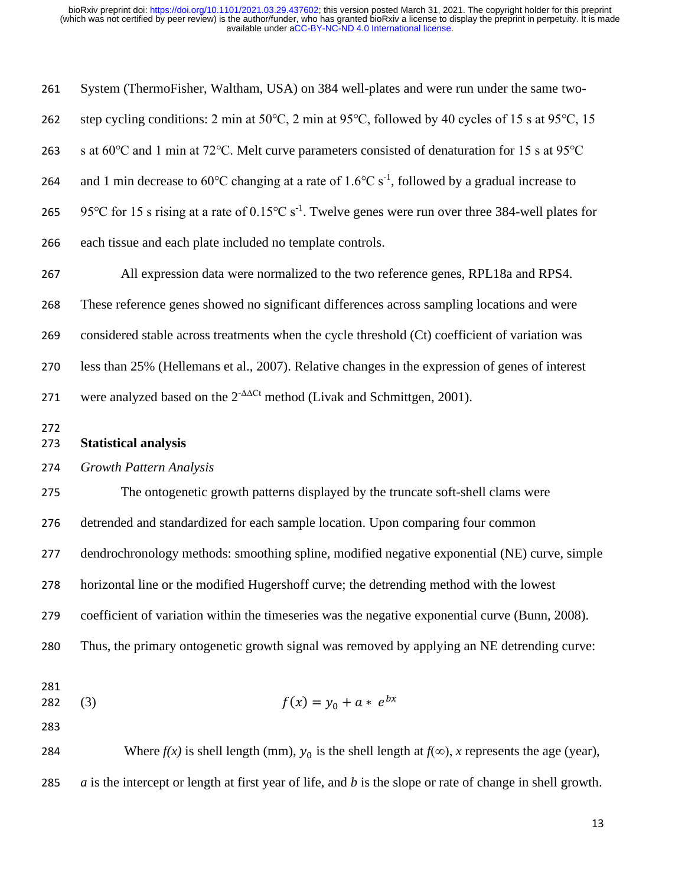| 261        | System (ThermoFisher, Waltham, USA) on 384 well-plates and were run under the same two-                                   |
|------------|---------------------------------------------------------------------------------------------------------------------------|
| 262        | step cycling conditions: 2 min at 50°C, 2 min at 95°C, followed by 40 cycles of 15 s at 95°C, 15                          |
| 263        | s at 60°C and 1 min at 72°C. Melt curve parameters consisted of denaturation for 15 s at 95°C                             |
| 264        | and 1 min decrease to 60°C changing at a rate of 1.6°C s <sup>-1</sup> , followed by a gradual increase to                |
| 265        | 95°C for 15 s rising at a rate of $0.15^{\circ}$ C s <sup>-1</sup> . Twelve genes were run over three 384-well plates for |
| 266        | each tissue and each plate included no template controls.                                                                 |
| 267        | All expression data were normalized to the two reference genes, RPL18a and RPS4.                                          |
| 268        | These reference genes showed no significant differences across sampling locations and were                                |
| 269        | considered stable across treatments when the cycle threshold (Ct) coefficient of variation was                            |
| 270        | less than 25% (Hellemans et al., 2007). Relative changes in the expression of genes of interest                           |
| 271        | were analyzed based on the $2^{-\Delta\Delta Ct}$ method (Livak and Schmittgen, 2001).                                    |
| 272<br>273 | <b>Statistical analysis</b>                                                                                               |
| 274        | <b>Growth Pattern Analysis</b>                                                                                            |
| 275        | The ontogenetic growth patterns displayed by the truncate soft-shell clams were                                           |
| 276        | detrended and standardized for each sample location. Upon comparing four common                                           |
| 277        | dendrochronology methods: smoothing spline, modified negative exponential (NE) curve, simple                              |
| 278        | horizontal line or the modified Hugershoff curve; the detrending method with the lowest                                   |
| 279        | coefficient of variation within the timeseries was the negative exponential curve (Bunn, 2008).                           |
| 280        | Thus, the primary ontogenetic growth signal was removed by applying an NE detrending curve:                               |
| 281<br>282 | $f(x) = y_0 + a * e^{bx}$<br>(3)                                                                                          |
| 283        |                                                                                                                           |
| 284        | Where $f(x)$ is shell length (mm), $y_0$ is the shell length at $f(\infty)$ , x represents the age (year),                |
| 285        | $a$ is the intercept or length at first year of life, and $b$ is the slope or rate of change in shell growth.             |
|            |                                                                                                                           |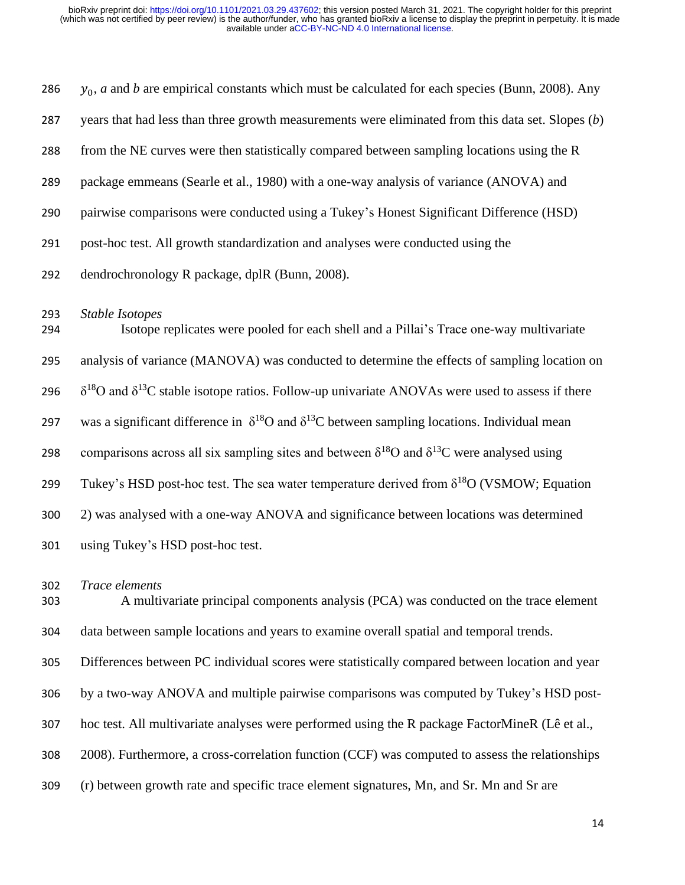| 286        | $y_0$ , a and b are empirical constants which must be calculated for each species (Bunn, 2008). Any                 |
|------------|---------------------------------------------------------------------------------------------------------------------|
| 287        | years that had less than three growth measurements were eliminated from this data set. Slopes $(b)$                 |
| 288        | from the NE curves were then statistically compared between sampling locations using the R                          |
| 289        | package emmeans (Searle et al., 1980) with a one-way analysis of variance (ANOVA) and                               |
| 290        | pairwise comparisons were conducted using a Tukey's Honest Significant Difference (HSD)                             |
| 291        | post-hoc test. All growth standardization and analyses were conducted using the                                     |
| 292        | dendrochronology R package, dplR (Bunn, 2008).                                                                      |
| 293<br>294 | Stable Isotopes<br>Isotope replicates were pooled for each shell and a Pillai's Trace one-way multivariate          |
| 295        | analysis of variance (MANOVA) was conducted to determine the effects of sampling location on                        |
| 296        | $\delta^{18}$ O and $\delta^{13}$ C stable isotope ratios. Follow-up univariate ANOVAs were used to assess if there |
| 297        | was a significant difference in $\delta^{18}$ O and $\delta^{13}$ C between sampling locations. Individual mean     |
| 298        | comparisons across all six sampling sites and between $\delta^{18}$ O and $\delta^{13}$ C were analysed using       |
| 299        | Tukey's HSD post-hoc test. The sea water temperature derived from $\delta^{18}O$ (VSMOW; Equation                   |
| 300        | 2) was analysed with a one-way ANOVA and significance between locations was determined                              |
| 301        | using Tukey's HSD post-hoc test.                                                                                    |
| 302        | <i>Trace elements</i>                                                                                               |

 A multivariate principal components analysis (PCA) was conducted on the trace element data between sample locations and years to examine overall spatial and temporal trends.

Differences between PC individual scores were statistically compared between location and year

by a two-way ANOVA and multiple pairwise comparisons was computed by Tukey's HSD post-

hoc test. All multivariate analyses were performed using the R package FactorMineR (Lê et al.,

2008). Furthermore, a cross-correlation function (CCF) was computed to assess the relationships

(r) between growth rate and specific trace element signatures, Mn, and Sr. Mn and Sr are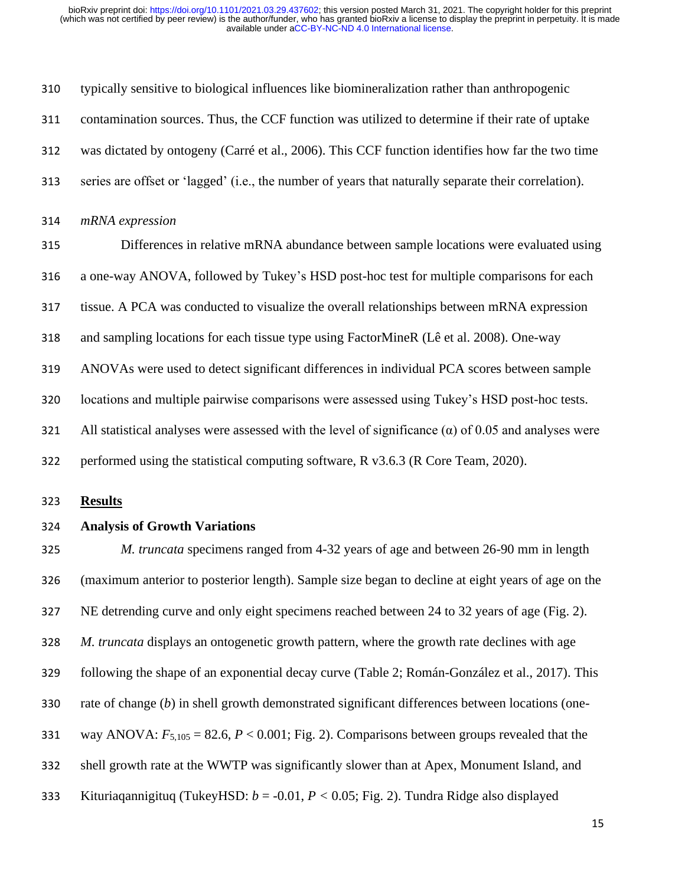| 310 | typically sensitive to biological influences like biomineralization rather than anthropogenic                |
|-----|--------------------------------------------------------------------------------------------------------------|
| 311 | contamination sources. Thus, the CCF function was utilized to determine if their rate of uptake              |
| 312 | was dictated by ontogeny (Carré et al., 2006). This CCF function identifies how far the two time             |
| 313 | series are offset or 'lagged' (i.e., the number of years that naturally separate their correlation).         |
| 314 | mRNA expression                                                                                              |
| 315 | Differences in relative mRNA abundance between sample locations were evaluated using                         |
| 316 | a one-way ANOVA, followed by Tukey's HSD post-hoc test for multiple comparisons for each                     |
| 317 | tissue. A PCA was conducted to visualize the overall relationships between mRNA expression                   |
| 318 | and sampling locations for each tissue type using FactorMineR (Lê et al. 2008). One-way                      |
| 319 | ANOVAs were used to detect significant differences in individual PCA scores between sample                   |
| 320 | locations and multiple pairwise comparisons were assessed using Tukey's HSD post-hoc tests.                  |
| 321 | All statistical analyses were assessed with the level of significance ( $\alpha$ ) of 0.05 and analyses were |
| 322 | performed using the statistical computing software, R v3.6.3 (R Core Team, 2020).                            |

**Results**

#### **Analysis of Growth Variations**

 *M. truncata* specimens ranged from 4-32 years of age and between 26-90 mm in length (maximum anterior to posterior length). Sample size began to decline at eight years of age on the NE detrending curve and only eight specimens reached between 24 to 32 years of age (Fig. 2). *M. truncata* displays an ontogenetic growth pattern, where the growth rate declines with age following the shape of an exponential decay curve (Table 2; Román-González et al., 2017). This rate of change (*b*) in shell growth demonstrated significant differences between locations (one-331 way ANOVA:  $F_{5,105} = 82.6$ ,  $P < 0.001$ ; Fig. 2). Comparisons between groups revealed that the shell growth rate at the WWTP was significantly slower than at Apex, Monument Island, and Kituriaqannigituq (TukeyHSD: *b* = -0.01, *P <* 0.05; Fig. 2). Tundra Ridge also displayed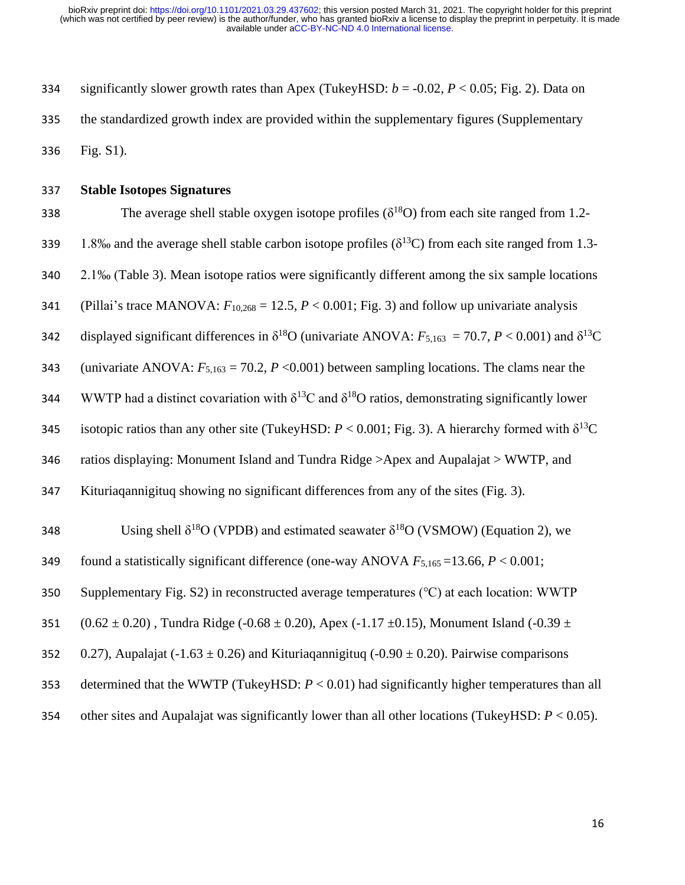334 significantly slower growth rates than Apex (TukeyHSD:  $b = -0.02$ ,  $P < 0.05$ ; Fig. 2). Data on 335 the standardized growth index are provided within the supplementary figures (Supplementary 336 Fig. S1).

337 **Stable Isotopes Signatures**

338 The average shell stable oxygen isotope profiles  $(\delta^{18}O)$  from each site ranged from 1.2-339 1.8‰ and the average shell stable carbon isotope profiles ( $\delta^{13}$ C) from each site ranged from 1.3-340 2.1‰ (Table 3). Mean isotope ratios were significantly different among the six sample locations 341 (Pillai's trace MANOVA:  $F_{10,268} = 12.5$ ,  $P < 0.001$ ; Fig. 3) and follow up univariate analysis 342 displayed significant differences in  $\delta^{18}O$  (univariate ANOVA:  $F_{5,163} = 70.7$ ,  $P < 0.001$ ) and  $\delta^{13}C$ 343 (univariate ANOVA:  $F_{5,163} = 70.2$ ,  $P < 0.001$ ) between sampling locations. The clams near the 344 WWTP had a distinct covariation with  $\delta^{13}C$  and  $\delta^{18}O$  ratios, demonstrating significantly lower **345** isotopic ratios than any other site (TukeyHSD:  $P < 0.001$ ; Fig. 3). A hierarchy formed with δ<sup>13</sup>C 346 ratios displaying: Monument Island and Tundra Ridge >Apex and Aupalajat > WWTP, and 347 Kituriaqannigituq showing no significant differences from any of the sites (Fig. 3). 348 Using shell  $\delta^{18}O$  (VPDB) and estimated seawater  $\delta^{18}O$  (VSMOW) (Equation 2), we 349 found a statistically significant difference (one-way ANOVA  $F_{5,165}$  =13.66,  $P < 0.001$ ; 350 Supplementary Fig. S2) in reconstructed average temperatures (℃) at each location: WWTP 351 (0.62  $\pm$  0.20), Tundra Ridge (-0.68  $\pm$  0.20), Apex (-1.17  $\pm$ 0.15), Monument Island (-0.39  $\pm$ 352 0.27), Aupalajat (-1.63  $\pm$  0.26) and Kituriagannigituq (-0.90  $\pm$  0.20). Pairwise comparisons 353 determined that the WWTP (TukeyHSD: *P* < 0.01) had significantly higher temperatures than all 354 other sites and Aupalajat was significantly lower than all other locations (TukeyHSD: *P* < 0.05).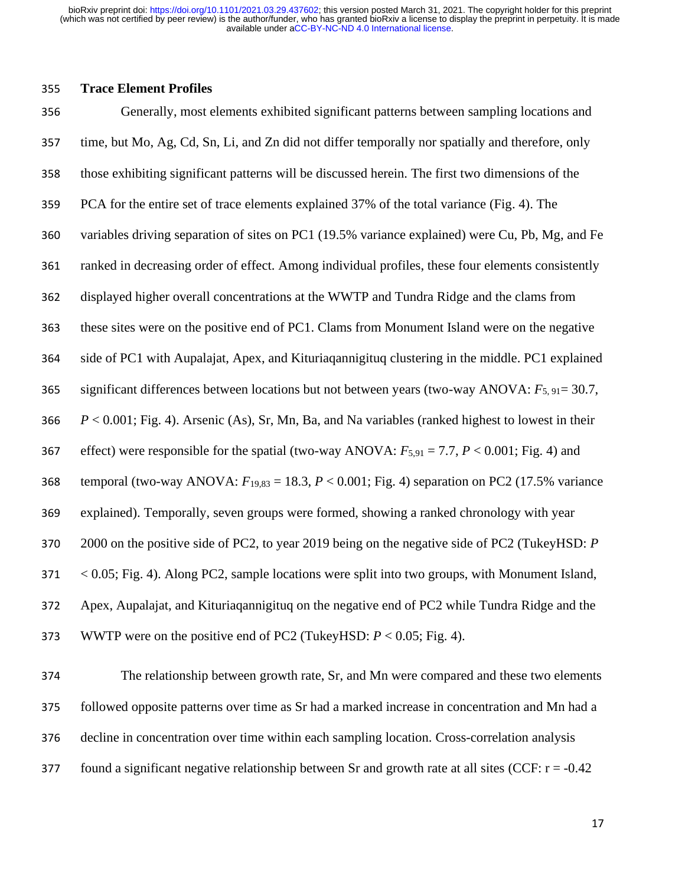#### **Trace Element Profiles**

 Generally, most elements exhibited significant patterns between sampling locations and time, but Mo, Ag, Cd, Sn, Li, and Zn did not differ temporally nor spatially and therefore, only those exhibiting significant patterns will be discussed herein. The first two dimensions of the PCA for the entire set of trace elements explained 37% of the total variance (Fig. 4). The variables driving separation of sites on PC1 (19.5% variance explained) were Cu, Pb, Mg, and Fe ranked in decreasing order of effect. Among individual profiles, these four elements consistently displayed higher overall concentrations at the WWTP and Tundra Ridge and the clams from these sites were on the positive end of PC1. Clams from Monument Island were on the negative side of PC1 with Aupalajat, Apex, and Kituriaqannigituq clustering in the middle. PC1 explained significant differences between locations but not between years (two-way ANOVA: *F*5, 91= 30.7, *P* < 0.001; Fig. 4). Arsenic (As), Sr, Mn, Ba, and Na variables (ranked highest to lowest in their 367 effect) were responsible for the spatial (two-way ANOVA:  $F_{5,91} = 7.7$ ,  $P < 0.001$ ; Fig. 4) and temporal (two-way ANOVA: *F*19,83 = 18.3, *P* < 0.001; Fig. 4) separation on PC2 (17.5% variance explained). Temporally, seven groups were formed, showing a ranked chronology with year 2000 on the positive side of PC2, to year 2019 being on the negative side of PC2 (TukeyHSD: *P*  < 0.05; Fig. 4). Along PC2, sample locations were split into two groups, with Monument Island, Apex, Aupalajat, and Kituriaqannigituq on the negative end of PC2 while Tundra Ridge and the WWTP were on the positive end of PC2 (TukeyHSD: *P* < 0.05; Fig. 4).

 The relationship between growth rate, Sr, and Mn were compared and these two elements followed opposite patterns over time as Sr had a marked increase in concentration and Mn had a decline in concentration over time within each sampling location. Cross-correlation analysis 377 found a significant negative relationship between Sr and growth rate at all sites (CCF:  $r = -0.42$ )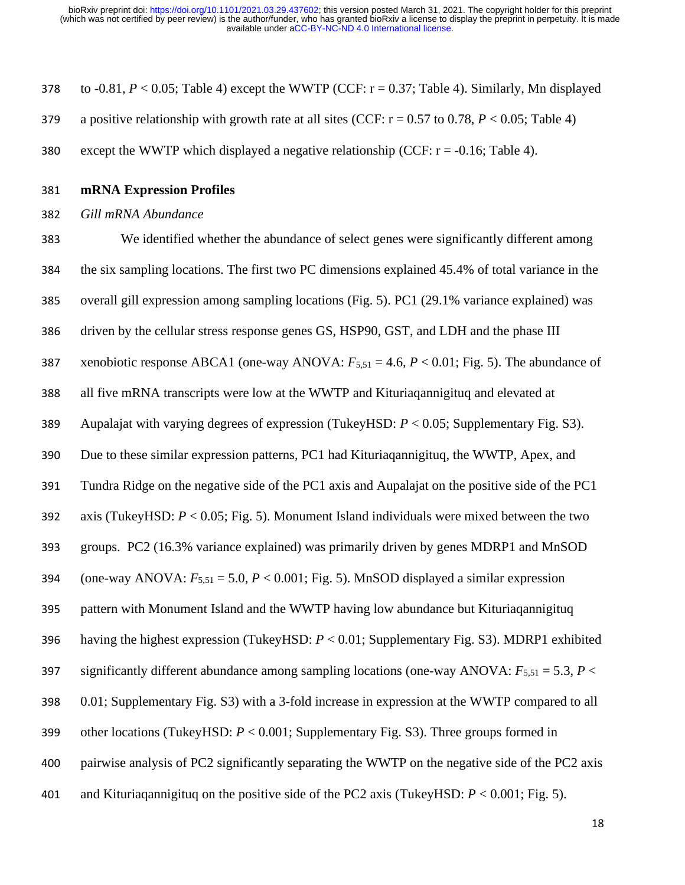378 to  $-0.81$ ,  $P < 0.05$ ; Table 4) except the WWTP (CCF:  $r = 0.37$ ; Table 4). Similarly, Mn displayed 379 a positive relationship with growth rate at all sites (CCF:  $r = 0.57$  to 0.78,  $P < 0.05$ ; Table 4)

- 380 except the WWTP which displayed a negative relationship (CCF:  $r = -0.16$ ; Table 4).
- **mRNA Expression Profiles**
- *Gill mRNA Abundance*

 We identified whether the abundance of select genes were significantly different among the six sampling locations. The first two PC dimensions explained 45.4% of total variance in the overall gill expression among sampling locations (Fig. 5). PC1 (29.1% variance explained) was driven by the cellular stress response genes GS, HSP90, GST, and LDH and the phase III xenobiotic response ABCA1 (one-way ANOVA: *F*5,51 = 4.6, *P* < 0.01; Fig. 5). The abundance of all five mRNA transcripts were low at the WWTP and Kituriaqannigituq and elevated at Aupalajat with varying degrees of expression (TukeyHSD: *P* < 0.05; Supplementary Fig. S3). Due to these similar expression patterns, PC1 had Kituriaqannigituq, the WWTP, Apex, and Tundra Ridge on the negative side of the PC1 axis and Aupalajat on the positive side of the PC1 axis (TukeyHSD: *P* < 0.05; Fig. 5). Monument Island individuals were mixed between the two groups. PC2 (16.3% variance explained) was primarily driven by genes MDRP1 and MnSOD 394 (one-way ANOVA:  $F_{5,51} = 5.0$ ,  $P < 0.001$ ; Fig. 5). MnSOD displayed a similar expression pattern with Monument Island and the WWTP having low abundance but Kituriaqannigituq having the highest expression (TukeyHSD: *P* < 0.01; Supplementary Fig. S3). MDRP1 exhibited 397 significantly different abundance among sampling locations (one-way ANOVA:  $F_{5,51} = 5.3$ ,  $P <$  0.01; Supplementary Fig. S3) with a 3-fold increase in expression at the WWTP compared to all other locations (TukeyHSD: *P* < 0.001; Supplementary Fig. S3). Three groups formed in pairwise analysis of PC2 significantly separating the WWTP on the negative side of the PC2 axis and Kituriaqannigituq on the positive side of the PC2 axis (TukeyHSD: *P* < 0.001; Fig. 5).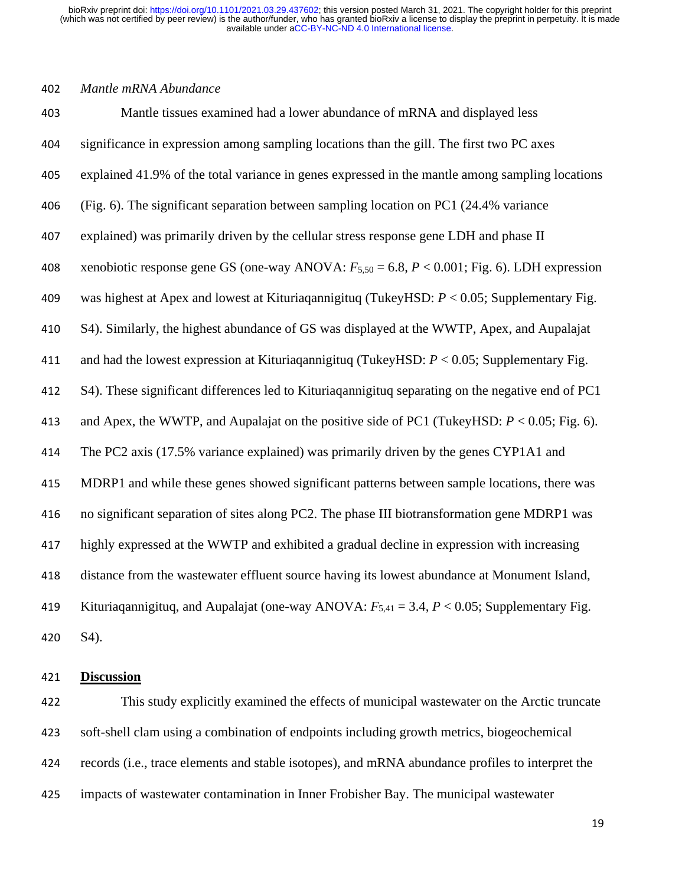#### *Mantle mRNA Abundance*

 Mantle tissues examined had a lower abundance of mRNA and displayed less significance in expression among sampling locations than the gill. The first two PC axes explained 41.9% of the total variance in genes expressed in the mantle among sampling locations (Fig. 6). The significant separation between sampling location on PC1 (24.4% variance explained) was primarily driven by the cellular stress response gene LDH and phase II xenobiotic response gene GS (one-way ANOVA: *F*5,50 = 6.8, *P* < 0.001; Fig. 6). LDH expression was highest at Apex and lowest at Kituriaqannigituq (TukeyHSD: *P* < 0.05; Supplementary Fig. S4). Similarly, the highest abundance of GS was displayed at the WWTP, Apex, and Aupalajat and had the lowest expression at Kituriaqannigituq (TukeyHSD: *P* < 0.05; Supplementary Fig. S4). These significant differences led to Kituriaqannigituq separating on the negative end of PC1 413 and Apex, the WWTP, and Aupalajat on the positive side of PC1 (TukeyHSD:  $P < 0.05$ ; Fig. 6). The PC2 axis (17.5% variance explained) was primarily driven by the genes CYP1A1 and MDRP1 and while these genes showed significant patterns between sample locations, there was no significant separation of sites along PC2. The phase III biotransformation gene MDRP1 was highly expressed at the WWTP and exhibited a gradual decline in expression with increasing distance from the wastewater effluent source having its lowest abundance at Monument Island, Kituriaqannigituq, and Aupalajat (one-way ANOVA: *F*5,41 = 3.4, *P* < 0.05; Supplementary Fig. S4).

#### **Discussion**

 This study explicitly examined the effects of municipal wastewater on the Arctic truncate soft-shell clam using a combination of endpoints including growth metrics, biogeochemical records (i.e., trace elements and stable isotopes), and mRNA abundance profiles to interpret the impacts of wastewater contamination in Inner Frobisher Bay. The municipal wastewater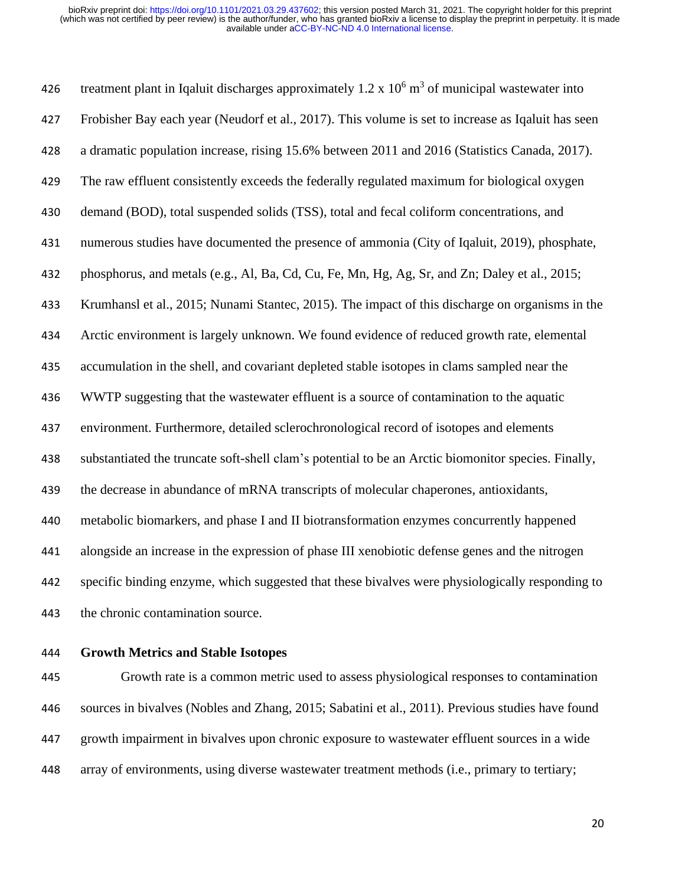426 treatment plant in Iqaluit discharges approximately 1.2 x  $10^6$  m<sup>3</sup> of municipal wastewater into Frobisher Bay each year (Neudorf et al., 2017). This volume is set to increase as Iqaluit has seen a dramatic population increase, rising 15.6% between 2011 and 2016 (Statistics Canada, 2017). The raw effluent consistently exceeds the federally regulated maximum for biological oxygen demand (BOD), total suspended solids (TSS), total and fecal coliform concentrations, and numerous studies have documented the presence of ammonia (City of Iqaluit, 2019), phosphate, phosphorus, and metals (e.g., Al, Ba, Cd, Cu, Fe, Mn, Hg, Ag, Sr, and Zn; Daley et al., 2015; Krumhansl et al., 2015; Nunami Stantec, 2015). The impact of this discharge on organisms in the Arctic environment is largely unknown. We found evidence of reduced growth rate, elemental accumulation in the shell, and covariant depleted stable isotopes in clams sampled near the WWTP suggesting that the wastewater effluent is a source of contamination to the aquatic environment. Furthermore, detailed sclerochronological record of isotopes and elements substantiated the truncate soft-shell clam's potential to be an Arctic biomonitor species. Finally, the decrease in abundance of mRNA transcripts of molecular chaperones, antioxidants, metabolic biomarkers, and phase I and II biotransformation enzymes concurrently happened alongside an increase in the expression of phase III xenobiotic defense genes and the nitrogen specific binding enzyme, which suggested that these bivalves were physiologically responding to the chronic contamination source.

#### **Growth Metrics and Stable Isotopes**

 Growth rate is a common metric used to assess physiological responses to contamination sources in bivalves (Nobles and Zhang, 2015; Sabatini et al., 2011). Previous studies have found growth impairment in bivalves upon chronic exposure to wastewater effluent sources in a wide array of environments, using diverse wastewater treatment methods (i.e., primary to tertiary;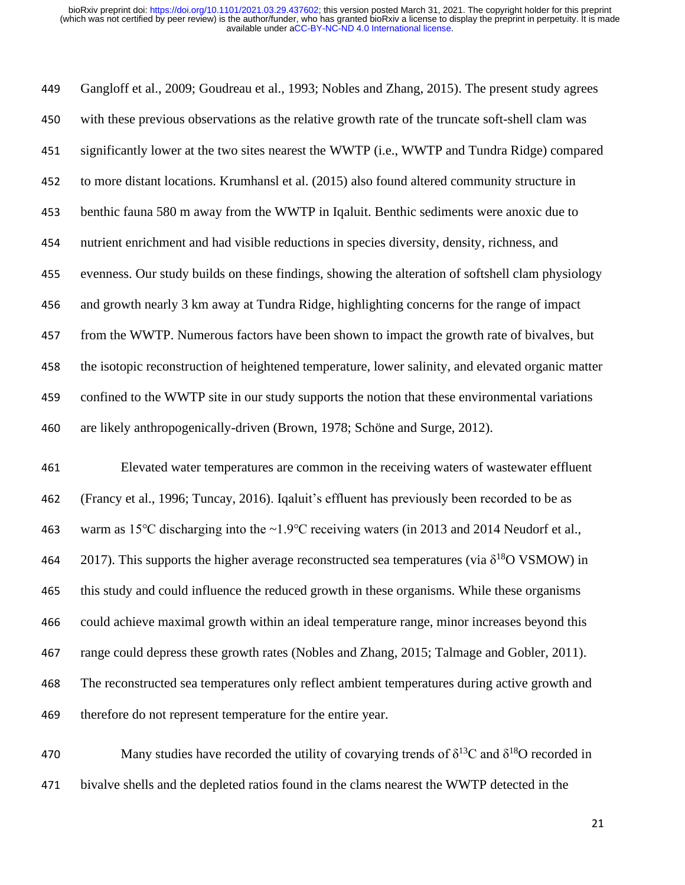Gangloff et al., 2009; Goudreau et al., 1993; Nobles and Zhang, 2015). The present study agrees with these previous observations as the relative growth rate of the truncate soft-shell clam was significantly lower at the two sites nearest the WWTP (i.e., WWTP and Tundra Ridge) compared to more distant locations. Krumhansl et al. (2015) also found altered community structure in benthic fauna 580 m away from the WWTP in Iqaluit. Benthic sediments were anoxic due to nutrient enrichment and had visible reductions in species diversity, density, richness, and evenness. Our study builds on these findings, showing the alteration of softshell clam physiology and growth nearly 3 km away at Tundra Ridge, highlighting concerns for the range of impact from the WWTP. Numerous factors have been shown to impact the growth rate of bivalves, but the isotopic reconstruction of heightened temperature, lower salinity, and elevated organic matter confined to the WWTP site in our study supports the notion that these environmental variations are likely anthropogenically-driven (Brown, 1978; Schöne and Surge, 2012).

 Elevated water temperatures are common in the receiving waters of wastewater effluent (Francy et al., 1996; Tuncay, 2016). Iqaluit's effluent has previously been recorded to be as warm as 15℃ discharging into the ~1.9℃ receiving waters (in 2013 and 2014 Neudorf et al., 464 2017). This supports the higher average reconstructed sea temperatures (via  $\delta^{18}O$  VSMOW) in this study and could influence the reduced growth in these organisms. While these organisms could achieve maximal growth within an ideal temperature range, minor increases beyond this range could depress these growth rates (Nobles and Zhang, 2015; Talmage and Gobler, 2011). The reconstructed sea temperatures only reflect ambient temperatures during active growth and therefore do not represent temperature for the entire year.

470 Many studies have recorded the utility of covarying trends of  $\delta^{13}$ C and  $\delta^{18}$ O recorded in bivalve shells and the depleted ratios found in the clams nearest the WWTP detected in the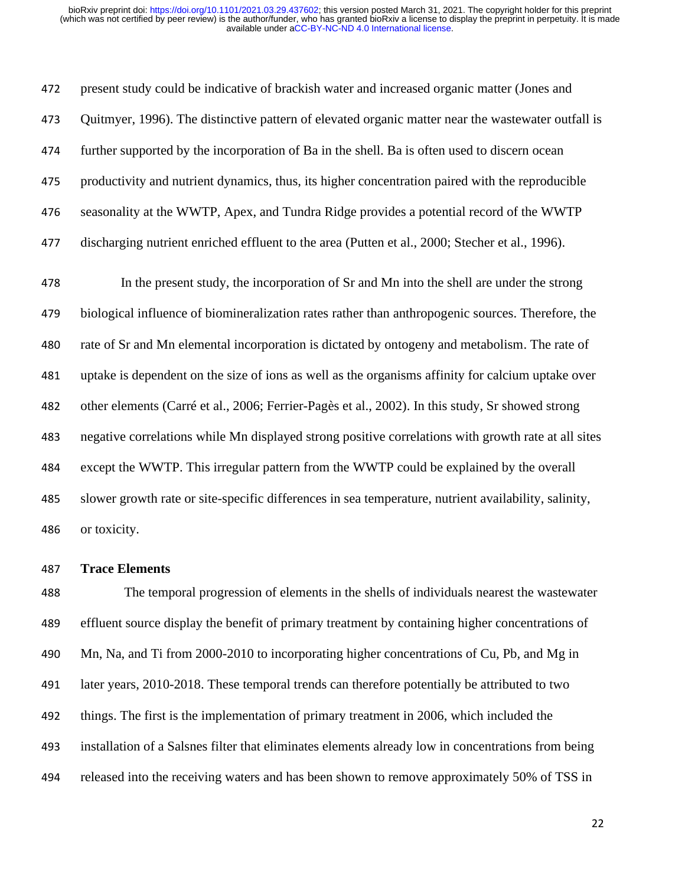present study could be indicative of brackish water and increased organic matter (Jones and Quitmyer, 1996). The distinctive pattern of elevated organic matter near the wastewater outfall is further supported by the incorporation of Ba in the shell. Ba is often used to discern ocean productivity and nutrient dynamics, thus, its higher concentration paired with the reproducible seasonality at the WWTP, Apex, and Tundra Ridge provides a potential record of the WWTP 477 discharging nutrient enriched effluent to the area (Putten et al., 2000; Stecher et al., 1996).

 In the present study, the incorporation of Sr and Mn into the shell are under the strong biological influence of biomineralization rates rather than anthropogenic sources. Therefore, the rate of Sr and Mn elemental incorporation is dictated by ontogeny and metabolism. The rate of uptake is dependent on the size of ions as well as the organisms affinity for calcium uptake over other elements (Carré et al., 2006; Ferrier-Pagès et al., 2002). In this study, Sr showed strong negative correlations while Mn displayed strong positive correlations with growth rate at all sites except the WWTP. This irregular pattern from the WWTP could be explained by the overall slower growth rate or site-specific differences in sea temperature, nutrient availability, salinity, or toxicity.

#### **Trace Elements**

 The temporal progression of elements in the shells of individuals nearest the wastewater effluent source display the benefit of primary treatment by containing higher concentrations of Mn, Na, and Ti from 2000-2010 to incorporating higher concentrations of Cu, Pb, and Mg in later years, 2010-2018. These temporal trends can therefore potentially be attributed to two things. The first is the implementation of primary treatment in 2006, which included the installation of a Salsnes filter that eliminates elements already low in concentrations from being released into the receiving waters and has been shown to remove approximately 50% of TSS in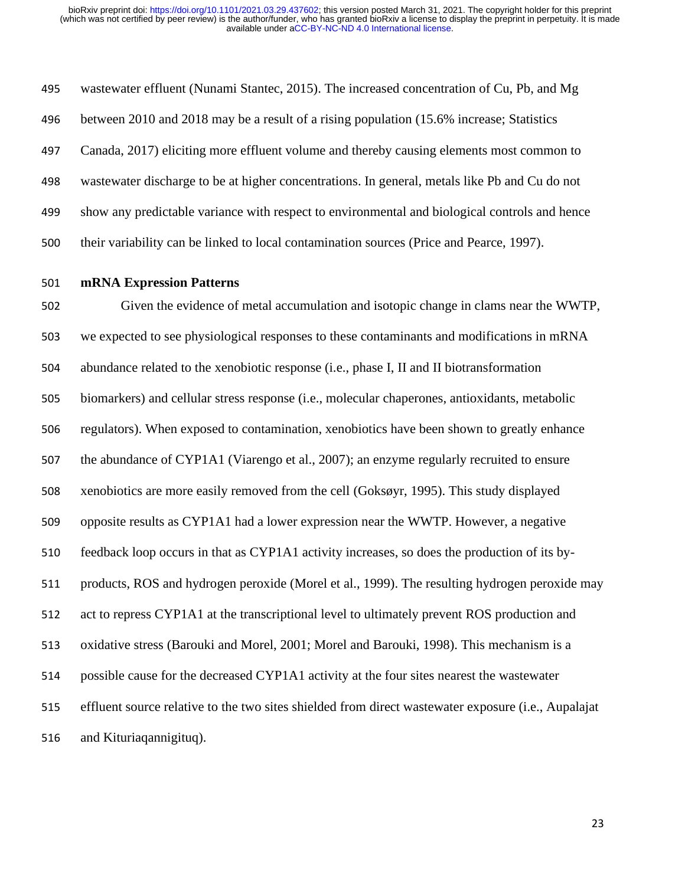wastewater effluent (Nunami Stantec, 2015). The increased concentration of Cu, Pb, and Mg between 2010 and 2018 may be a result of a rising population (15.6% increase; Statistics Canada, 2017) eliciting more effluent volume and thereby causing elements most common to wastewater discharge to be at higher concentrations. In general, metals like Pb and Cu do not show any predictable variance with respect to environmental and biological controls and hence their variability can be linked to local contamination sources (Price and Pearce, 1997).

**mRNA Expression Patterns**

 Given the evidence of metal accumulation and isotopic change in clams near the WWTP, we expected to see physiological responses to these contaminants and modifications in mRNA abundance related to the xenobiotic response (i.e., phase I, II and II biotransformation biomarkers) and cellular stress response (i.e., molecular chaperones, antioxidants, metabolic regulators). When exposed to contamination, xenobiotics have been shown to greatly enhance the abundance of CYP1A1 (Viarengo et al., 2007); an enzyme regularly recruited to ensure xenobiotics are more easily removed from the cell (Goksøyr, 1995). This study displayed opposite results as CYP1A1 had a lower expression near the WWTP. However, a negative feedback loop occurs in that as CYP1A1 activity increases, so does the production of its by- products, ROS and hydrogen peroxide (Morel et al., 1999). The resulting hydrogen peroxide may act to repress CYP1A1 at the transcriptional level to ultimately prevent ROS production and oxidative stress (Barouki and Morel, 2001; Morel and Barouki, 1998). This mechanism is a possible cause for the decreased CYP1A1 activity at the four sites nearest the wastewater effluent source relative to the two sites shielded from direct wastewater exposure (i.e., Aupalajat and Kituriaqannigituq).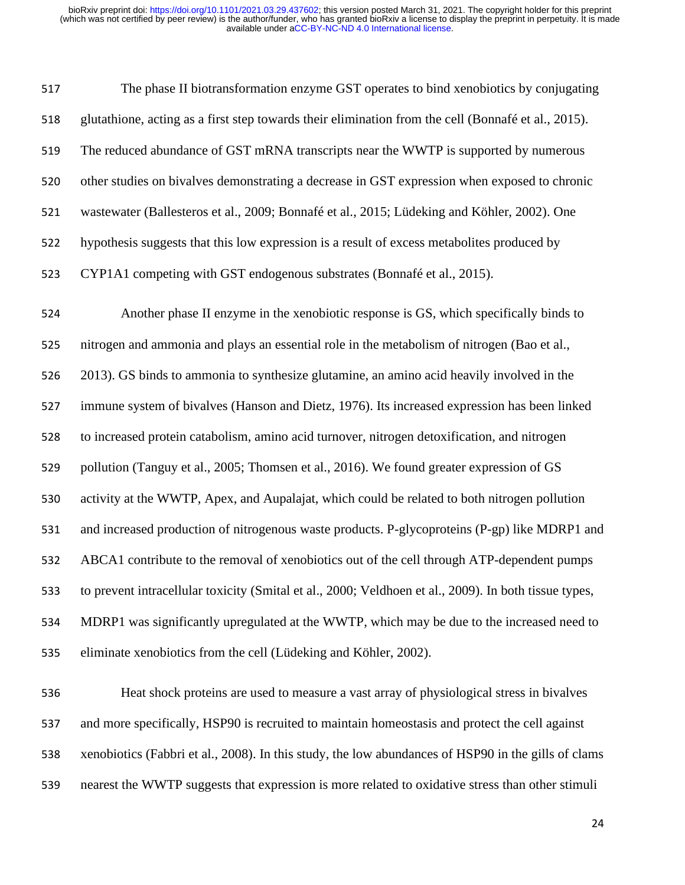The phase II biotransformation enzyme GST operates to bind xenobiotics by conjugating glutathione, acting as a first step towards their elimination from the cell (Bonnafé et al., 2015). The reduced abundance of GST mRNA transcripts near the WWTP is supported by numerous other studies on bivalves demonstrating a decrease in GST expression when exposed to chronic wastewater (Ballesteros et al., 2009; Bonnafé et al., 2015; Lüdeking and Köhler, 2002). One hypothesis suggests that this low expression is a result of excess metabolites produced by CYP1A1 competing with GST endogenous substrates (Bonnafé et al., 2015). Another phase II enzyme in the xenobiotic response is GS, which specifically binds to nitrogen and ammonia and plays an essential role in the metabolism of nitrogen (Bao et al., 2013). GS binds to ammonia to synthesize glutamine, an amino acid heavily involved in the immune system of bivalves (Hanson and Dietz, 1976). Its increased expression has been linked to increased protein catabolism, amino acid turnover, nitrogen detoxification, and nitrogen 529 pollution (Tanguy et al., 2005; Thomsen et al., 2016). We found greater expression of GS activity at the WWTP, Apex, and Aupalajat, which could be related to both nitrogen pollution and increased production of nitrogenous waste products. P-glycoproteins (P-gp) like MDRP1 and ABCA1 contribute to the removal of xenobiotics out of the cell through ATP-dependent pumps to prevent intracellular toxicity (Smital et al., 2000; Veldhoen et al., 2009). In both tissue types, MDRP1 was significantly upregulated at the WWTP, which may be due to the increased need to eliminate xenobiotics from the cell (Lüdeking and Köhler, 2002). Heat shock proteins are used to measure a vast array of physiological stress in bivalves and more specifically, HSP90 is recruited to maintain homeostasis and protect the cell against

nearest the WWTP suggests that expression is more related to oxidative stress than other stimuli

xenobiotics (Fabbri et al., 2008). In this study, the low abundances of HSP90 in the gills of clams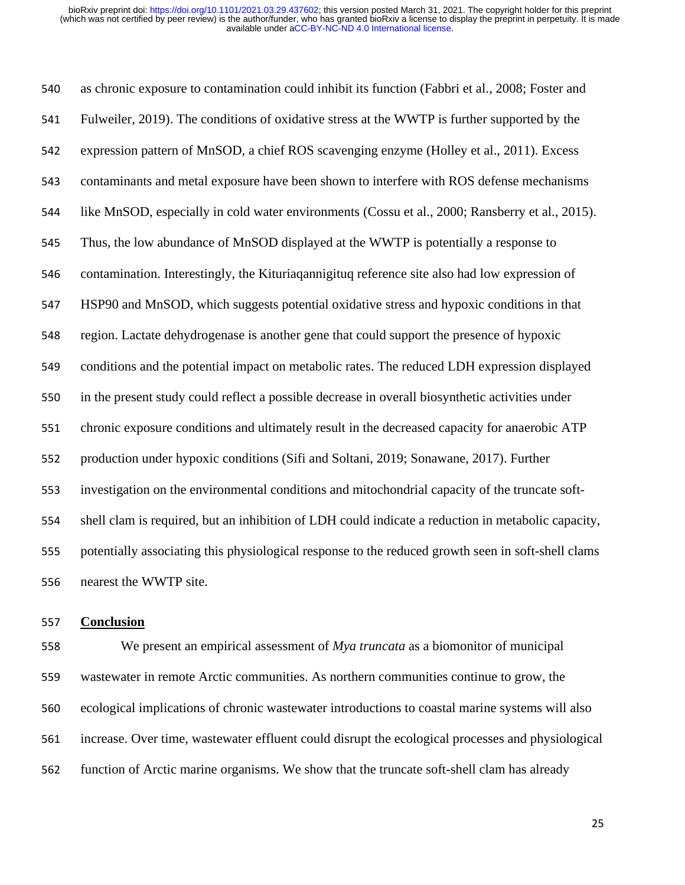as chronic exposure to contamination could inhibit its function (Fabbri et al., 2008; Foster and Fulweiler, 2019). The conditions of oxidative stress at the WWTP is further supported by the expression pattern of MnSOD, a chief ROS scavenging enzyme (Holley et al., 2011). Excess contaminants and metal exposure have been shown to interfere with ROS defense mechanisms like MnSOD, especially in cold water environments (Cossu et al., 2000; Ransberry et al., 2015). Thus, the low abundance of MnSOD displayed at the WWTP is potentially a response to contamination. Interestingly, the Kituriaqannigituq reference site also had low expression of HSP90 and MnSOD, which suggests potential oxidative stress and hypoxic conditions in that region. Lactate dehydrogenase is another gene that could support the presence of hypoxic conditions and the potential impact on metabolic rates. The reduced LDH expression displayed in the present study could reflect a possible decrease in overall biosynthetic activities under chronic exposure conditions and ultimately result in the decreased capacity for anaerobic ATP production under hypoxic conditions (Sifi and Soltani, 2019; Sonawane, 2017). Further investigation on the environmental conditions and mitochondrial capacity of the truncate soft- shell clam is required, but an inhibition of LDH could indicate a reduction in metabolic capacity, potentially associating this physiological response to the reduced growth seen in soft-shell clams nearest the WWTP site.

### **Conclusion**

 We present an empirical assessment of *Mya truncata* as a biomonitor of municipal wastewater in remote Arctic communities. As northern communities continue to grow, the ecological implications of chronic wastewater introductions to coastal marine systems will also increase. Over time, wastewater effluent could disrupt the ecological processes and physiological function of Arctic marine organisms. We show that the truncate soft-shell clam has already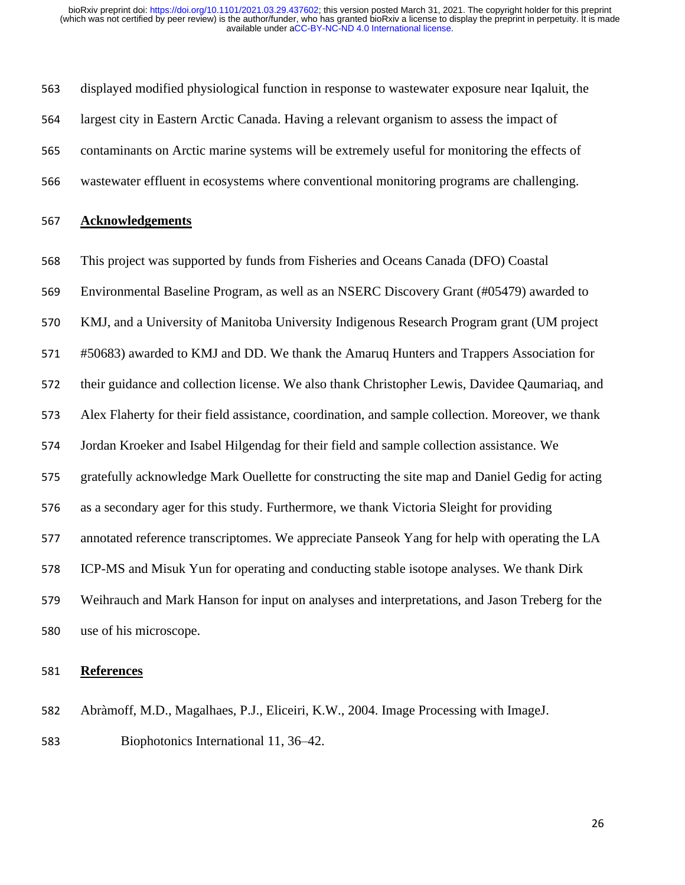displayed modified physiological function in response to wastewater exposure near Iqaluit, the largest city in Eastern Arctic Canada. Having a relevant organism to assess the impact of contaminants on Arctic marine systems will be extremely useful for monitoring the effects of wastewater effluent in ecosystems where conventional monitoring programs are challenging.

### **Acknowledgements**

This project was supported by funds from Fisheries and Oceans Canada (DFO) Coastal

Environmental Baseline Program, as well as an NSERC Discovery Grant (#05479) awarded to

KMJ, and a University of Manitoba University Indigenous Research Program grant (UM project

#50683) awarded to KMJ and DD. We thank the Amaruq Hunters and Trappers Association for

their guidance and collection license. We also thank Christopher Lewis, Davidee Qaumariaq, and

Alex Flaherty for their field assistance, coordination, and sample collection. Moreover, we thank

Jordan Kroeker and Isabel Hilgendag for their field and sample collection assistance. We

gratefully acknowledge Mark Ouellette for constructing the site map and Daniel Gedig for acting

as a secondary ager for this study. Furthermore, we thank Victoria Sleight for providing

annotated reference transcriptomes. We appreciate Panseok Yang for help with operating the LA

ICP-MS and Misuk Yun for operating and conducting stable isotope analyses. We thank Dirk

 Weihrauch and Mark Hanson for input on analyses and interpretations, and Jason Treberg for the use of his microscope.

### **References**

 Abràmoff, M.D., Magalhaes, P.J., Eliceiri, K.W., 2004. Image Processing with ImageJ. Biophotonics International 11, 36–42.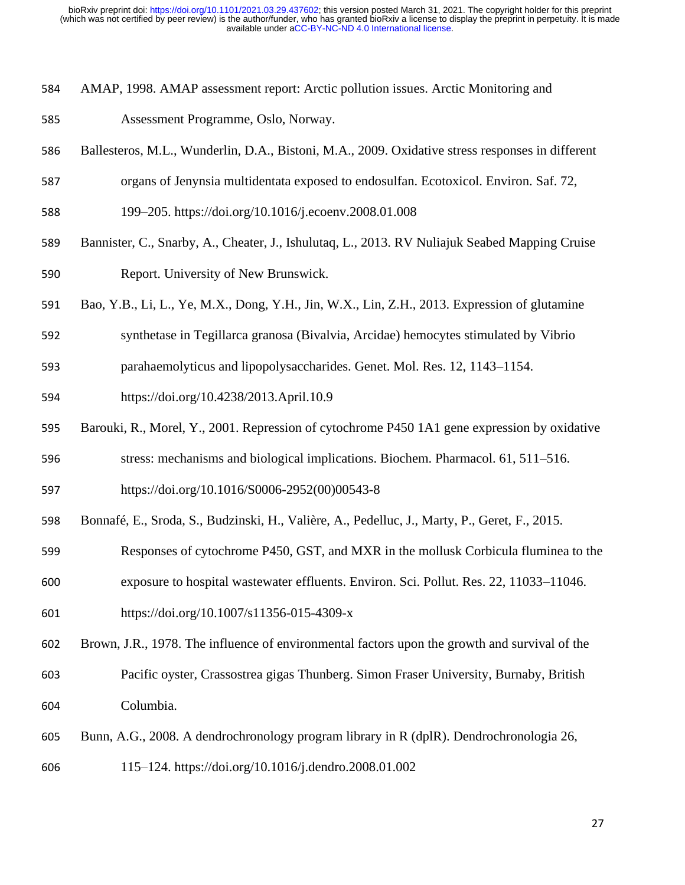- AMAP, 1998. AMAP assessment report: Arctic pollution issues. Arctic Monitoring and
- Assessment Programme, Oslo, Norway.
- Ballesteros, M.L., Wunderlin, D.A., Bistoni, M.A., 2009. Oxidative stress responses in different
- organs of Jenynsia multidentata exposed to endosulfan. Ecotoxicol. Environ. Saf. 72,
- 199–205. https://doi.org/10.1016/j.ecoenv.2008.01.008
- Bannister, C., Snarby, A., Cheater, J., Ishulutaq, L., 2013. RV Nuliajuk Seabed Mapping Cruise Report. University of New Brunswick.
- Bao, Y.B., Li, L., Ye, M.X., Dong, Y.H., Jin, W.X., Lin, Z.H., 2013. Expression of glutamine
- synthetase in Tegillarca granosa (Bivalvia, Arcidae) hemocytes stimulated by Vibrio
- parahaemolyticus and lipopolysaccharides. Genet. Mol. Res. 12, 1143–1154.
- https://doi.org/10.4238/2013.April.10.9
- Barouki, R., Morel, Y., 2001. Repression of cytochrome P450 1A1 gene expression by oxidative
- stress: mechanisms and biological implications. Biochem. Pharmacol. 61, 511–516.
- https://doi.org/10.1016/S0006-2952(00)00543-8
- Bonnafé, E., Sroda, S., Budzinski, H., Valière, A., Pedelluc, J., Marty, P., Geret, F., 2015.
- Responses of cytochrome P450, GST, and MXR in the mollusk Corbicula fluminea to the
- exposure to hospital wastewater effluents. Environ. Sci. Pollut. Res. 22, 11033–11046.
- https://doi.org/10.1007/s11356-015-4309-x
- Brown, J.R., 1978. The influence of environmental factors upon the growth and survival of the
- Pacific oyster, Crassostrea gigas Thunberg. Simon Fraser University, Burnaby, British Columbia.
- Bunn, A.G., 2008. A dendrochronology program library in R (dplR). Dendrochronologia 26,
- 115–124. https://doi.org/10.1016/j.dendro.2008.01.002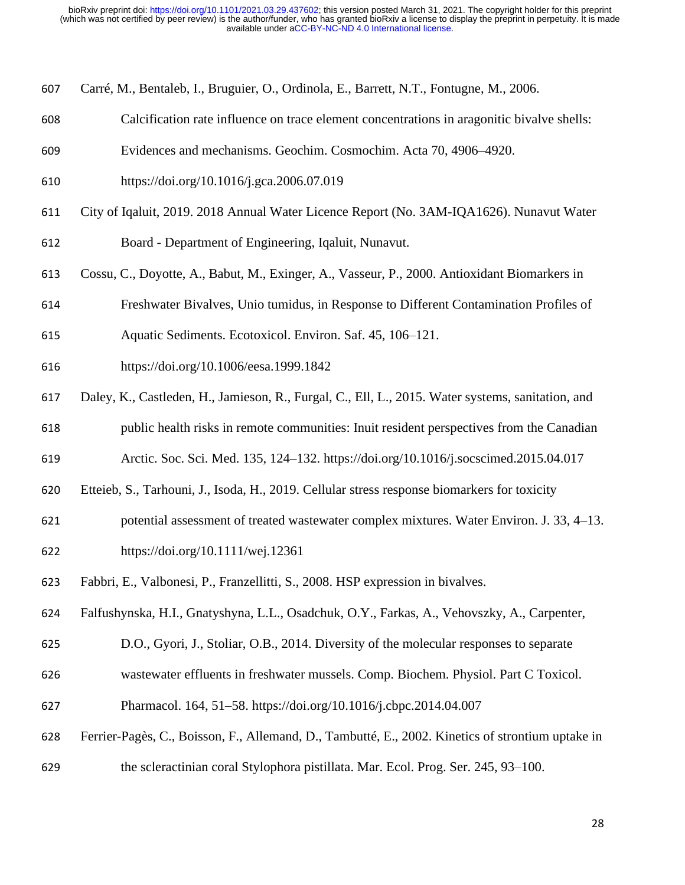- Carré, M., Bentaleb, I., Bruguier, O., Ordinola, E., Barrett, N.T., Fontugne, M., 2006.
- Calcification rate influence on trace element concentrations in aragonitic bivalve shells:
- Evidences and mechanisms. Geochim. Cosmochim. Acta 70, 4906–4920.
- https://doi.org/10.1016/j.gca.2006.07.019
- City of Iqaluit, 2019. 2018 Annual Water Licence Report (No. 3AM-IQA1626). Nunavut Water
- Board Department of Engineering, Iqaluit, Nunavut.
- Cossu, C., Doyotte, A., Babut, M., Exinger, A., Vasseur, P., 2000. Antioxidant Biomarkers in
- Freshwater Bivalves, Unio tumidus, in Response to Different Contamination Profiles of
- Aquatic Sediments. Ecotoxicol. Environ. Saf. 45, 106–121.
- https://doi.org/10.1006/eesa.1999.1842
- Daley, K., Castleden, H., Jamieson, R., Furgal, C., Ell, L., 2015. Water systems, sanitation, and
- public health risks in remote communities: Inuit resident perspectives from the Canadian
- Arctic. Soc. Sci. Med. 135, 124–132. https://doi.org/10.1016/j.socscimed.2015.04.017
- Etteieb, S., Tarhouni, J., Isoda, H., 2019. Cellular stress response biomarkers for toxicity
- potential assessment of treated wastewater complex mixtures. Water Environ. J. 33, 4–13.
- https://doi.org/10.1111/wej.12361
- Fabbri, E., Valbonesi, P., Franzellitti, S., 2008. HSP expression in bivalves.
- Falfushynska, H.I., Gnatyshyna, L.L., Osadchuk, O.Y., Farkas, A., Vehovszky, A., Carpenter,
- D.O., Gyori, J., Stoliar, O.B., 2014. Diversity of the molecular responses to separate
- wastewater effluents in freshwater mussels. Comp. Biochem. Physiol. Part C Toxicol.
- Pharmacol. 164, 51–58. https://doi.org/10.1016/j.cbpc.2014.04.007
- Ferrier-Pagès, C., Boisson, F., Allemand, D., Tambutté, E., 2002. Kinetics of strontium uptake in
- the scleractinian coral Stylophora pistillata. Mar. Ecol. Prog. Ser. 245, 93–100.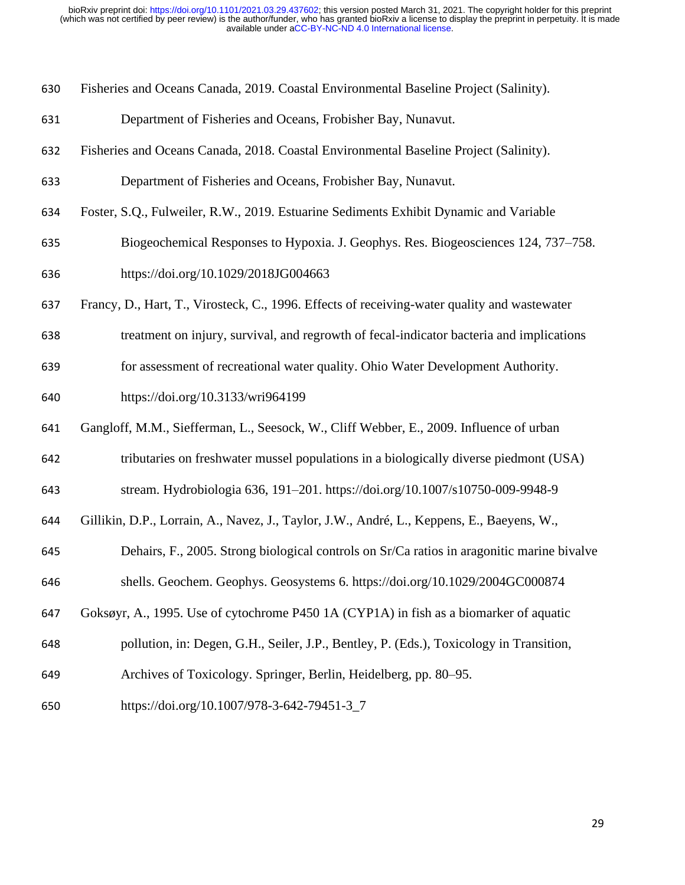| 630 | Fisheries and Oceans Canada, 2019. Coastal Environmental Baseline Project (Salinity). |  |  |  |  |  |  |
|-----|---------------------------------------------------------------------------------------|--|--|--|--|--|--|
|-----|---------------------------------------------------------------------------------------|--|--|--|--|--|--|

- Department of Fisheries and Oceans, Frobisher Bay, Nunavut.
- Fisheries and Oceans Canada, 2018. Coastal Environmental Baseline Project (Salinity).
- Department of Fisheries and Oceans, Frobisher Bay, Nunavut.
- Foster, S.Q., Fulweiler, R.W., 2019. Estuarine Sediments Exhibit Dynamic and Variable
- Biogeochemical Responses to Hypoxia. J. Geophys. Res. Biogeosciences 124, 737–758. https://doi.org/10.1029/2018JG004663
- Francy, D., Hart, T., Virosteck, C., 1996. Effects of receiving-water quality and wastewater
- treatment on injury, survival, and regrowth of fecal-indicator bacteria and implications
- for assessment of recreational water quality. Ohio Water Development Authority.
- https://doi.org/10.3133/wri964199
- Gangloff, M.M., Siefferman, L., Seesock, W., Cliff Webber, E., 2009. Influence of urban
- tributaries on freshwater mussel populations in a biologically diverse piedmont (USA)
- stream. Hydrobiologia 636, 191–201. https://doi.org/10.1007/s10750-009-9948-9
- Gillikin, D.P., Lorrain, A., Navez, J., Taylor, J.W., André, L., Keppens, E., Baeyens, W.,
- Dehairs, F., 2005. Strong biological controls on Sr/Ca ratios in aragonitic marine bivalve
- shells. Geochem. Geophys. Geosystems 6. https://doi.org/10.1029/2004GC000874
- Goksøyr, A., 1995. Use of cytochrome P450 1A (CYP1A) in fish as a biomarker of aquatic
- pollution, in: Degen, G.H., Seiler, J.P., Bentley, P. (Eds.), Toxicology in Transition,
- Archives of Toxicology. Springer, Berlin, Heidelberg, pp. 80–95.
- https://doi.org/10.1007/978-3-642-79451-3\_7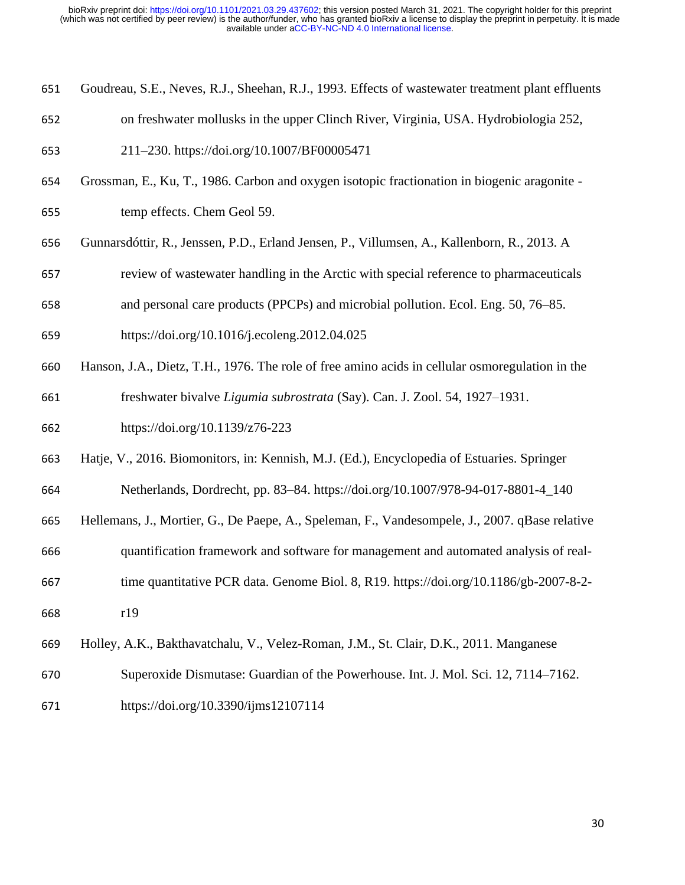- Goudreau, S.E., Neves, R.J., Sheehan, R.J., 1993. Effects of wastewater treatment plant effluents
- on freshwater mollusks in the upper Clinch River, Virginia, USA. Hydrobiologia 252,
- 211–230. https://doi.org/10.1007/BF00005471
- Grossman, E., Ku, T., 1986. Carbon and oxygen isotopic fractionation in biogenic aragonite -
- temp effects. Chem Geol 59.
- Gunnarsdóttir, R., Jenssen, P.D., Erland Jensen, P., Villumsen, A., Kallenborn, R., 2013. A
- review of wastewater handling in the Arctic with special reference to pharmaceuticals
- and personal care products (PPCPs) and microbial pollution. Ecol. Eng. 50, 76–85.
- https://doi.org/10.1016/j.ecoleng.2012.04.025
- Hanson, J.A., Dietz, T.H., 1976. The role of free amino acids in cellular osmoregulation in the

freshwater bivalve *Ligumia subrostrata* (Say). Can. J. Zool. 54, 1927–1931.

- https://doi.org/10.1139/z76-223
- Hatje, V., 2016. Biomonitors, in: Kennish, M.J. (Ed.), Encyclopedia of Estuaries. Springer
- Netherlands, Dordrecht, pp. 83–84. https://doi.org/10.1007/978-94-017-8801-4\_140
- Hellemans, J., Mortier, G., De Paepe, A., Speleman, F., Vandesompele, J., 2007. qBase relative
- quantification framework and software for management and automated analysis of real-
- time quantitative PCR data. Genome Biol. 8, R19. https://doi.org/10.1186/gb-2007-8-2-
- r19
- Holley, A.K., Bakthavatchalu, V., Velez-Roman, J.M., St. Clair, D.K., 2011. Manganese
- Superoxide Dismutase: Guardian of the Powerhouse. Int. J. Mol. Sci. 12, 7114–7162.
- https://doi.org/10.3390/ijms12107114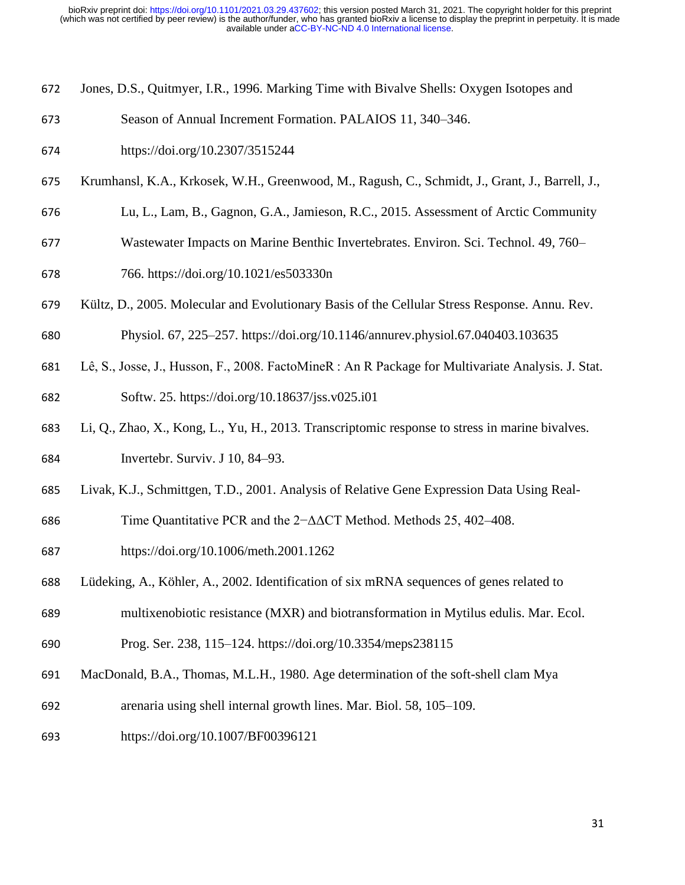- Jones, D.S., Quitmyer, I.R., 1996. Marking Time with Bivalve Shells: Oxygen Isotopes and
- Season of Annual Increment Formation. PALAIOS 11, 340–346.
- https://doi.org/10.2307/3515244
- Krumhansl, K.A., Krkosek, W.H., Greenwood, M., Ragush, C., Schmidt, J., Grant, J., Barrell, J.,
- Lu, L., Lam, B., Gagnon, G.A., Jamieson, R.C., 2015. Assessment of Arctic Community
- Wastewater Impacts on Marine Benthic Invertebrates. Environ. Sci. Technol. 49, 760–
- 766. https://doi.org/10.1021/es503330n
- Kültz, D., 2005. Molecular and Evolutionary Basis of the Cellular Stress Response. Annu. Rev.
- Physiol. 67, 225–257. https://doi.org/10.1146/annurev.physiol.67.040403.103635
- Lê, S., Josse, J., Husson, F., 2008. FactoMineR : An R Package for Multivariate Analysis. J. Stat. Softw. 25. https://doi.org/10.18637/jss.v025.i01
- Li, Q., Zhao, X., Kong, L., Yu, H., 2013. Transcriptomic response to stress in marine bivalves.
- Invertebr. Surviv. J 10, 84–93.
- Livak, K.J., Schmittgen, T.D., 2001. Analysis of Relative Gene Expression Data Using Real-
- Time Quantitative PCR and the 2−ΔΔCT Method. Methods 25, 402–408.
- https://doi.org/10.1006/meth.2001.1262
- Lüdeking, A., Köhler, A., 2002. Identification of six mRNA sequences of genes related to
- multixenobiotic resistance (MXR) and biotransformation in Mytilus edulis. Mar. Ecol.
- Prog. Ser. 238, 115–124. https://doi.org/10.3354/meps238115
- MacDonald, B.A., Thomas, M.L.H., 1980. Age determination of the soft-shell clam Mya
- arenaria using shell internal growth lines. Mar. Biol. 58, 105–109.
- https://doi.org/10.1007/BF00396121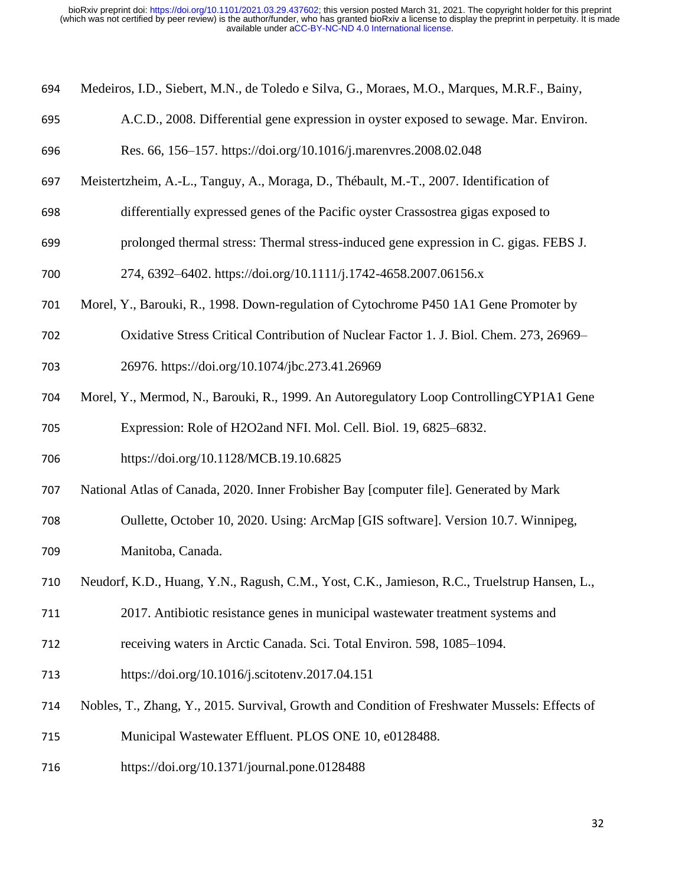| 694 |  |  |  |  | Medeiros, I.D., Siebert, M.N., de Toledo e Silva, G., Moraes, M.O., Marques, M.R.F., Bainy, |
|-----|--|--|--|--|---------------------------------------------------------------------------------------------|
|-----|--|--|--|--|---------------------------------------------------------------------------------------------|

- A.C.D., 2008. Differential gene expression in oyster exposed to sewage. Mar. Environ.
- Res. 66, 156–157. https://doi.org/10.1016/j.marenvres.2008.02.048
- Meistertzheim, A.-L., Tanguy, A., Moraga, D., Thébault, M.-T., 2007. Identification of
- differentially expressed genes of the Pacific oyster Crassostrea gigas exposed to
- prolonged thermal stress: Thermal stress-induced gene expression in C. gigas. FEBS J.
- 274, 6392–6402. https://doi.org/10.1111/j.1742-4658.2007.06156.x
- Morel, Y., Barouki, R., 1998. Down-regulation of Cytochrome P450 1A1 Gene Promoter by
- Oxidative Stress Critical Contribution of Nuclear Factor 1. J. Biol. Chem. 273, 26969–
- 26976. https://doi.org/10.1074/jbc.273.41.26969
- Morel, Y., Mermod, N., Barouki, R., 1999. An Autoregulatory Loop ControllingCYP1A1 Gene Expression: Role of H2O2and NFI. Mol. Cell. Biol. 19, 6825–6832.
- https://doi.org/10.1128/MCB.19.10.6825
- National Atlas of Canada, 2020. Inner Frobisher Bay [computer file]. Generated by Mark
- Oullette, October 10, 2020. Using: ArcMap [GIS software]. Version 10.7. Winnipeg, Manitoba, Canada.
- Neudorf, K.D., Huang, Y.N., Ragush, C.M., Yost, C.K., Jamieson, R.C., Truelstrup Hansen, L.,
- 2017. Antibiotic resistance genes in municipal wastewater treatment systems and
- receiving waters in Arctic Canada. Sci. Total Environ. 598, 1085–1094.
- https://doi.org/10.1016/j.scitotenv.2017.04.151
- Nobles, T., Zhang, Y., 2015. Survival, Growth and Condition of Freshwater Mussels: Effects of
- Municipal Wastewater Effluent. PLOS ONE 10, e0128488.
- https://doi.org/10.1371/journal.pone.0128488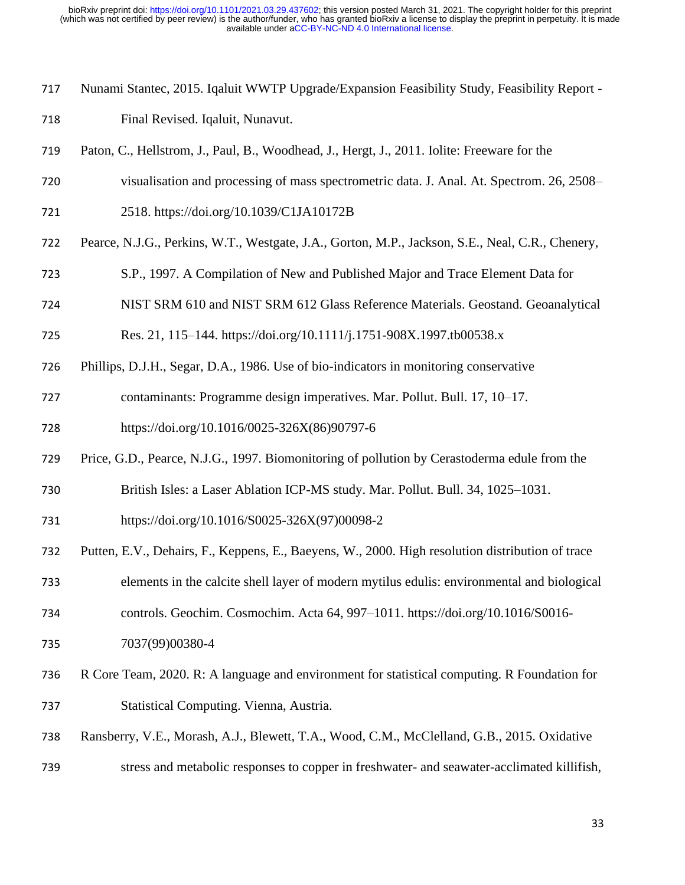- Nunami Stantec, 2015. Iqaluit WWTP Upgrade/Expansion Feasibility Study, Feasibility Report -
- Final Revised. Iqaluit, Nunavut.
- Paton, C., Hellstrom, J., Paul, B., Woodhead, J., Hergt, J., 2011. Iolite: Freeware for the
- visualisation and processing of mass spectrometric data. J. Anal. At. Spectrom. 26, 2508–
- 2518. https://doi.org/10.1039/C1JA10172B
- Pearce, N.J.G., Perkins, W.T., Westgate, J.A., Gorton, M.P., Jackson, S.E., Neal, C.R., Chenery,
- S.P., 1997. A Compilation of New and Published Major and Trace Element Data for
- NIST SRM 610 and NIST SRM 612 Glass Reference Materials. Geostand. Geoanalytical
- Res. 21, 115–144. https://doi.org/10.1111/j.1751-908X.1997.tb00538.x
- Phillips, D.J.H., Segar, D.A., 1986. Use of bio-indicators in monitoring conservative
- contaminants: Programme design imperatives. Mar. Pollut. Bull. 17, 10–17.
- https://doi.org/10.1016/0025-326X(86)90797-6
- Price, G.D., Pearce, N.J.G., 1997. Biomonitoring of pollution by Cerastoderma edule from the
- British Isles: a Laser Ablation ICP-MS study. Mar. Pollut. Bull. 34, 1025–1031.
- https://doi.org/10.1016/S0025-326X(97)00098-2
- Putten, E.V., Dehairs, F., Keppens, E., Baeyens, W., 2000. High resolution distribution of trace
- elements in the calcite shell layer of modern mytilus edulis: environmental and biological
- controls. Geochim. Cosmochim. Acta 64, 997–1011. https://doi.org/10.1016/S0016-
- 7037(99)00380-4
- R Core Team, 2020. R: A language and environment for statistical computing. R Foundation for Statistical Computing. Vienna, Austria.
- Ransberry, V.E., Morash, A.J., Blewett, T.A., Wood, C.M., McClelland, G.B., 2015. Oxidative
- stress and metabolic responses to copper in freshwater- and seawater-acclimated killifish,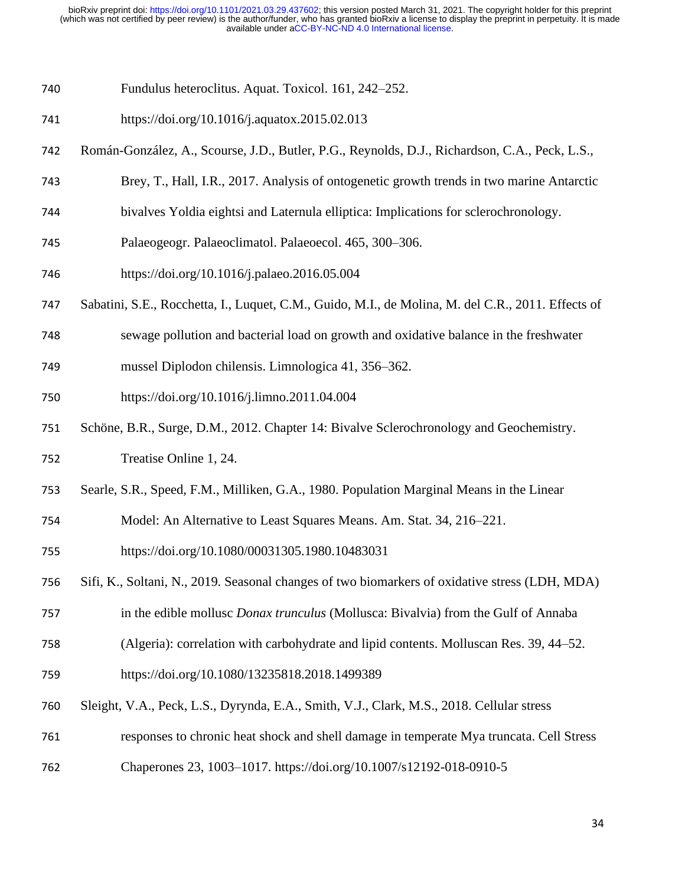- Fundulus heteroclitus. Aquat. Toxicol. 161, 242–252.
- https://doi.org/10.1016/j.aquatox.2015.02.013
- Román-González, A., Scourse, J.D., Butler, P.G., Reynolds, D.J., Richardson, C.A., Peck, L.S.,
- Brey, T., Hall, I.R., 2017. Analysis of ontogenetic growth trends in two marine Antarctic
- bivalves Yoldia eightsi and Laternula elliptica: Implications for sclerochronology.
- Palaeogeogr. Palaeoclimatol. Palaeoecol. 465, 300–306.
- https://doi.org/10.1016/j.palaeo.2016.05.004
- Sabatini, S.E., Rocchetta, I., Luquet, C.M., Guido, M.I., de Molina, M. del C.R., 2011. Effects of
- sewage pollution and bacterial load on growth and oxidative balance in the freshwater
- mussel Diplodon chilensis. Limnologica 41, 356–362.
- https://doi.org/10.1016/j.limno.2011.04.004
- Schöne, B.R., Surge, D.M., 2012. Chapter 14: Bivalve Sclerochronology and Geochemistry.
- Treatise Online 1, 24.
- Searle, S.R., Speed, F.M., Milliken, G.A., 1980. Population Marginal Means in the Linear
- Model: An Alternative to Least Squares Means. Am. Stat. 34, 216–221.
- https://doi.org/10.1080/00031305.1980.10483031
- Sifi, K., Soltani, N., 2019. Seasonal changes of two biomarkers of oxidative stress (LDH, MDA)
- in the edible mollusc *Donax trunculus* (Mollusca: Bivalvia) from the Gulf of Annaba
- (Algeria): correlation with carbohydrate and lipid contents. Molluscan Res. 39, 44–52.
- https://doi.org/10.1080/13235818.2018.1499389
- Sleight, V.A., Peck, L.S., Dyrynda, E.A., Smith, V.J., Clark, M.S., 2018. Cellular stress
- responses to chronic heat shock and shell damage in temperate Mya truncata. Cell Stress
- Chaperones 23, 1003–1017. https://doi.org/10.1007/s12192-018-0910-5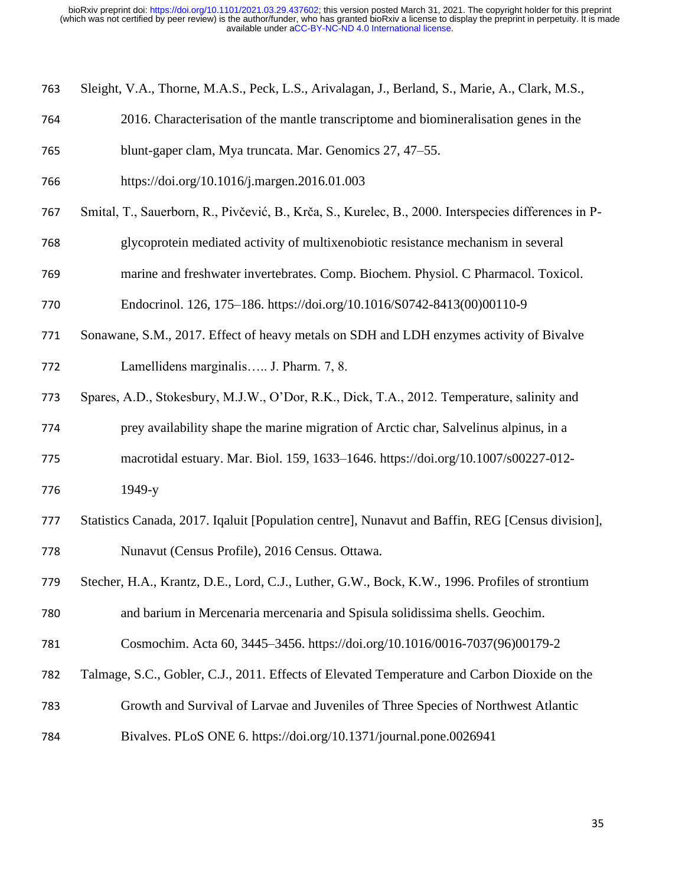|  |  | 763 Sleight, V.A., Thorne, M.A.S., Peck, L.S., Arivalagan, J., Berland, S., Marie, A., Clark, M.S., |  |  |
|--|--|-----------------------------------------------------------------------------------------------------|--|--|
|  |  |                                                                                                     |  |  |

- 2016. Characterisation of the mantle transcriptome and biomineralisation genes in the
- blunt-gaper clam, Mya truncata. Mar. Genomics 27, 47–55.
- https://doi.org/10.1016/j.margen.2016.01.003
- Smital, T., Sauerborn, R., Pivčević, B., Krča, S., Kurelec, B., 2000. Interspecies differences in P-
- glycoprotein mediated activity of multixenobiotic resistance mechanism in several
- marine and freshwater invertebrates. Comp. Biochem. Physiol. C Pharmacol. Toxicol.
- Endocrinol. 126, 175–186. https://doi.org/10.1016/S0742-8413(00)00110-9
- Sonawane, S.M., 2017. Effect of heavy metals on SDH and LDH enzymes activity of Bivalve
- Lamellidens marginalis….. J. Pharm. 7, 8.
- Spares, A.D., Stokesbury, M.J.W., O'Dor, R.K., Dick, T.A., 2012. Temperature, salinity and
- prey availability shape the marine migration of Arctic char, Salvelinus alpinus, in a
- macrotidal estuary. Mar. Biol. 159, 1633–1646. https://doi.org/10.1007/s00227-012- 1949-y
- Statistics Canada, 2017. Iqaluit [Population centre], Nunavut and Baffin, REG [Census division], Nunavut (Census Profile), 2016 Census. Ottawa.
- Stecher, H.A., Krantz, D.E., Lord, C.J., Luther, G.W., Bock, K.W., 1996. Profiles of strontium

and barium in Mercenaria mercenaria and Spisula solidissima shells. Geochim.

- Cosmochim. Acta 60, 3445–3456. https://doi.org/10.1016/0016-7037(96)00179-2
- Talmage, S.C., Gobler, C.J., 2011. Effects of Elevated Temperature and Carbon Dioxide on the
- Growth and Survival of Larvae and Juveniles of Three Species of Northwest Atlantic
- Bivalves. PLoS ONE 6. https://doi.org/10.1371/journal.pone.0026941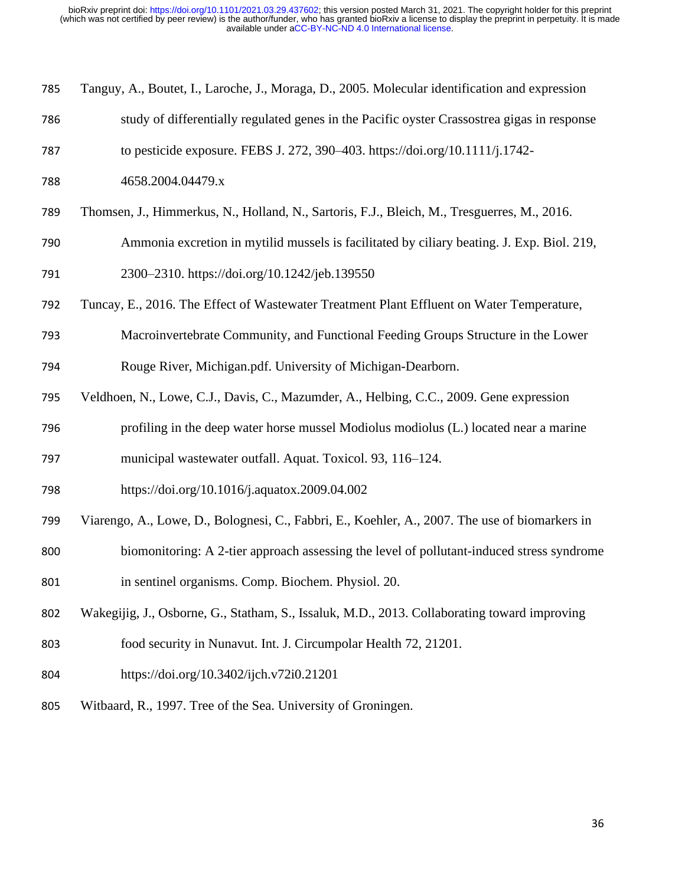| 785 | Tanguy, A., Boutet, I., Laroche, J., Moraga, D., 2005. Molecular identification and expression |
|-----|------------------------------------------------------------------------------------------------|
| 786 | study of differentially regulated genes in the Pacific oyster Crassostrea gigas in response    |
| 787 | to pesticide exposure. FEBS J. 272, 390-403. https://doi.org/10.1111/j.1742-                   |
| 788 | 4658.2004.04479.x                                                                              |
| 789 | Thomsen, J., Himmerkus, N., Holland, N., Sartoris, F.J., Bleich, M., Tresguerres, M., 2016.    |
| 790 | Ammonia excretion in mytilid mussels is facilitated by ciliary beating. J. Exp. Biol. 219,     |
| 791 | 2300-2310. https://doi.org/10.1242/jeb.139550                                                  |
| 792 | Tuncay, E., 2016. The Effect of Wastewater Treatment Plant Effluent on Water Temperature,      |
| 793 | Macroinvertebrate Community, and Functional Feeding Groups Structure in the Lower              |
| 794 | Rouge River, Michigan.pdf. University of Michigan-Dearborn.                                    |
| 795 | Veldhoen, N., Lowe, C.J., Davis, C., Mazumder, A., Helbing, C.C., 2009. Gene expression        |
| 796 | profiling in the deep water horse mussel Modiolus modiolus (L.) located near a marine          |
| 797 | municipal wastewater outfall. Aquat. Toxicol. 93, 116-124.                                     |
| 798 | https://doi.org/10.1016/j.aquatox.2009.04.002                                                  |
| 799 | Viarengo, A., Lowe, D., Bolognesi, C., Fabbri, E., Koehler, A., 2007. The use of biomarkers in |
| 800 | biomonitoring: A 2-tier approach assessing the level of pollutant-induced stress syndrome      |
| 801 | in sentinel organisms. Comp. Biochem. Physiol. 20.                                             |
| 802 | Wakegijig, J., Osborne, G., Statham, S., Issaluk, M.D., 2013. Collaborating toward improving   |
| 803 | food security in Nunavut. Int. J. Circumpolar Health 72, 21201.                                |
| 804 | https://doi.org/10.3402/ijch.v72i0.21201                                                       |
| 805 | Witbaard, R., 1997. Tree of the Sea. University of Groningen.                                  |
|     |                                                                                                |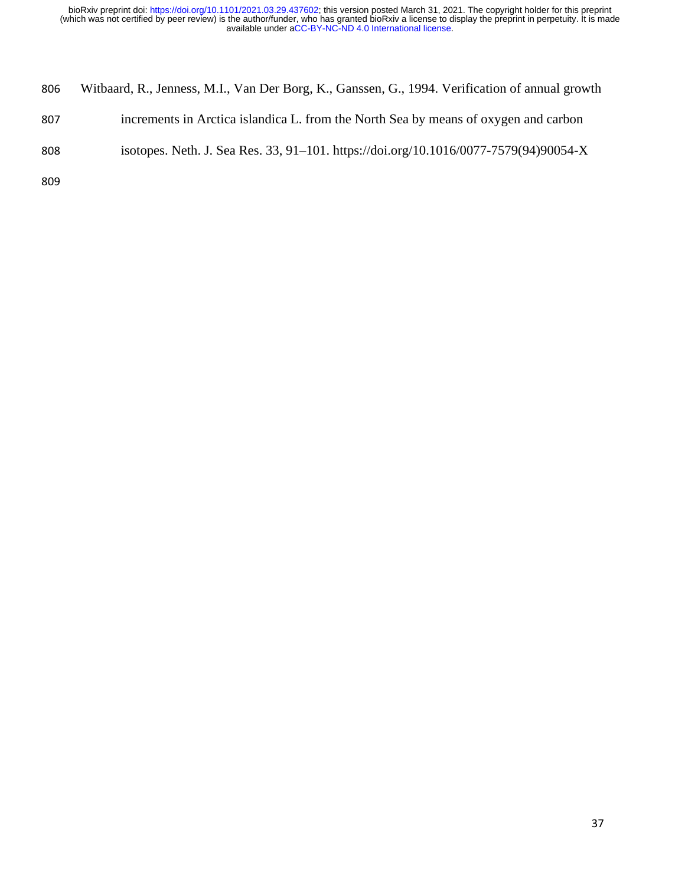| 806 | Witbaard, R., Jenness, M.I., Van Der Borg, K., Ganssen, G., 1994. Verification of annual growth |
|-----|-------------------------------------------------------------------------------------------------|
| 807 | increments in Arctica islandica L. from the North Sea by means of oxygen and carbon             |
| 808 | isotopes. Neth. J. Sea Res. 33, 91–101. https://doi.org/10.1016/0077-7579(94)90054-X            |
| 809 |                                                                                                 |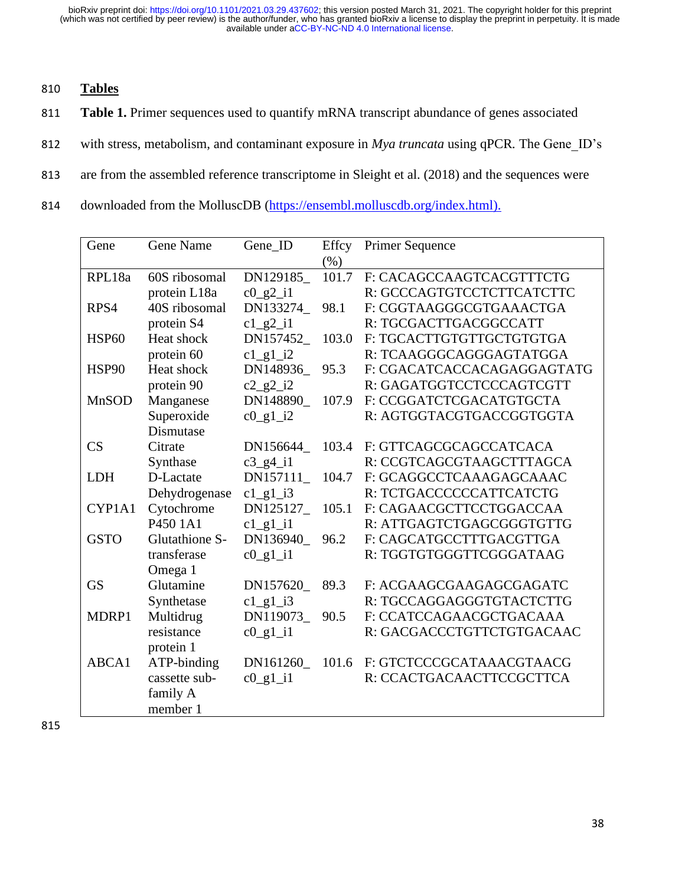- 810 **Tables**
- 811 **Table 1.** Primer sequences used to quantify mRNA transcript abundance of genes associated
- 812 with stress, metabolism, and contaminant exposure in *Mya truncata* using qPCR*.* The Gene\_ID's
- 813 are from the assembled reference transcriptome in Sleight et al. (2018) and the sequences were
- 814 downloaded from the MolluscDB [\(https://ensembl.molluscdb.org/index.html\)](https://ensembl.molluscdb.org/index.html).

| Gene         | <b>Gene Name</b>                 | Gene_ID                                         | Effcy | <b>Primer Sequence</b>     |
|--------------|----------------------------------|-------------------------------------------------|-------|----------------------------|
|              |                                  |                                                 | (%)   |                            |
| RPL18a       | 60S ribosomal                    | DN129185_                                       | 101.7 | F: CACAGCCAAGTCACGTTTCTG   |
|              | protein L18a                     | $c0$ $g2$ $i1$                                  |       | R: GCCCAGTGTCCTCTTCATCTTC  |
| RPS4         | 40S ribosomal                    | DN133274                                        | 98.1  | F: CGGTAAGGGCGTGAAACTGA    |
|              | protein S4                       | $c1$ <sub>g2</sub> $i1$                         |       | R: TGCGACTTGACGGCCATT      |
| <b>HSP60</b> | Heat shock                       | DN157452                                        | 103.0 | F: TGCACTTGTGTTGCTGTGTGA   |
|              | protein 60                       | $c1$ <sub>g</sub> $1$ <sup>i</sup> <sub>2</sub> |       | R: TCAAGGGCAGGGAGTATGGA    |
| HSP90        | Heat shock                       | DN148936                                        | 95.3  | F: CGACATCACCACAGAGGAGTATG |
|              | protein 90                       | $c2$ <sub>g2</sub> $i2$                         |       | R: GAGATGGTCCTCCCAGTCGTT   |
| <b>MnSOD</b> | Manganese                        | DN148890                                        | 107.9 | F: CCGGATCTCGACATGTGCTA    |
|              | Superoxide                       | $c0_g1_i2$                                      |       | R: AGTGGTACGTGACCGGTGGTA   |
|              | Dismutase                        |                                                 |       |                            |
| CS           | Citrate                          | DN156644                                        | 103.4 | F: GTTCAGCGCAGCCATCACA     |
|              | Synthase                         | $c3$ <sub>_g</sub> $4$ <sub>_i</sub> 1          |       | R: CCGTCAGCGTAAGCTTTAGCA   |
| <b>LDH</b>   | D-Lactate                        | DN157111_                                       | 104.7 | F: GCAGGCCTCAAAGAGCAAAC    |
|              | Dehydrogenase                    | $c1$ g $1$ i3                                   |       | R: TCTGACCCCCCATTCATCTG    |
| CYP1A1       | Cytochrome                       | DN125127_                                       | 105.1 | F: CAGAACGCTTCCTGGACCAA    |
|              | P <sub>450</sub> 1A <sub>1</sub> | $c1$ <sub>gl</sub> $i1$                         |       | R: ATTGAGTCTGAGCGGGTGTTG   |
| <b>GSTO</b>  | Glutathione S-                   | DN136940                                        | 96.2  | F: CAGCATGCCTTTGACGTTGA    |
|              | transferase                      | $c0$ g <sub>1</sub> i <sub>1</sub>              |       | R: TGGTGTGGGTTCGGGATAAG    |
|              | Omega 1                          |                                                 |       |                            |
| <b>GS</b>    | Glutamine                        | DN157620                                        | 89.3  | F: ACGAAGCGAAGAGCGAGATC    |
|              | Synthetase                       | $c1$ <sup>1</sup> $\frac{1}{3}$                 |       | R: TGCCAGGAGGGTGTACTCTTG   |
| MDRP1        | Multidrug                        | DN119073                                        | 90.5  | F: CCATCCAGAACGCTGACAAA    |
|              | resistance                       | $c0$ <sup>1</sup> i1                            |       | R: GACGACCCTGTTCTGTGACAAC  |
|              | protein 1                        |                                                 |       |                            |
| ABCA1        | ATP-binding                      | DN161260_                                       | 101.6 | F: GTCTCCCGCATAAACGTAACG   |
|              | cassette sub-                    | $c0$ g <sub>1</sub> i <sub>1</sub>              |       | R: CCACTGACAACTTCCGCTTCA   |
|              | family A                         |                                                 |       |                            |
|              | member 1                         |                                                 |       |                            |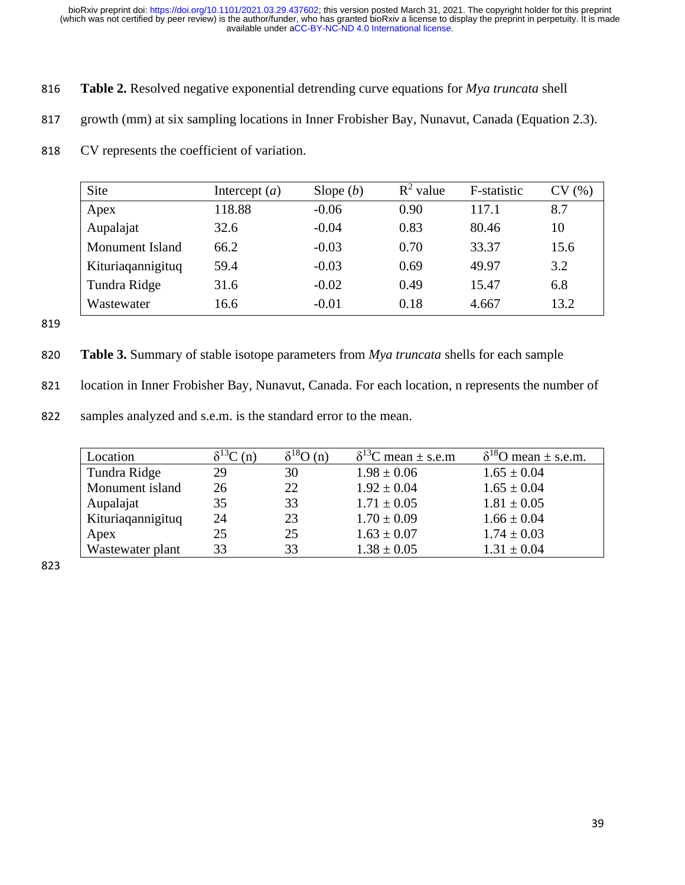- 816 **Table 2.** Resolved negative exponential detrending curve equations for *Mya truncata* shell
- 817 growth (mm) at six sampling locations in Inner Frobisher Bay, Nunavut, Canada (Equation 2.3).
- 818 CV represents the coefficient of variation.

| Site              | Intercept $(a)$ | Slope $(b)$ | $R^2$ value | F-statistic | CV<br>(% ) |
|-------------------|-----------------|-------------|-------------|-------------|------------|
| Apex              | 118.88          | $-0.06$     | 0.90        | 117.1       | 8.7        |
| Aupalajat         | 32.6            | $-0.04$     | 0.83        | 80.46       | 10         |
| Monument Island   | 66.2            | $-0.03$     | 0.70        | 33.37       | 15.6       |
| Kituriagannigituq | 59.4            | $-0.03$     | 0.69        | 49.97       | 3.2        |
| Tundra Ridge      | 31.6            | $-0.02$     | 0.49        | 15.47       | 6.8        |
| Wastewater        | 16.6            | $-0.01$     | 0.18        | 4.667       | 13.2       |

819

- 820 **Table 3.** Summary of stable isotope parameters from *Mya truncata* shells for each sample
- 821 location in Inner Frobisher Bay, Nunavut, Canada. For each location, n represents the number of
- 822 samples analyzed and s.e.m. is the standard error to the mean.

| Location          | (n) | $\delta^{18}O(n)$ | $\delta^{13}$ C mean ± s.e.m | $\delta^{18}$ O mean ± s.e.m. |
|-------------------|-----|-------------------|------------------------------|-------------------------------|
| Tundra Ridge      | 29  | 30                | $1.98 \pm 0.06$              | $1.65 \pm 0.04$               |
| Monument island   | 26  | 22                | $1.92 \pm 0.04$              | $1.65 \pm 0.04$               |
| Aupalajat         | 35  | 33                | $1.71 \pm 0.05$              | $1.81 \pm 0.05$               |
| Kituriaqannigituq | 24  | 23                | $1.70 \pm 0.09$              | $1.66 \pm 0.04$               |
| Apex              | 25  | 25                | $1.63 \pm 0.07$              | $1.74 \pm 0.03$               |
| Wastewater plant  | 33  | 33                | $1.38 \pm 0.05$              | $1.31 \pm 0.04$               |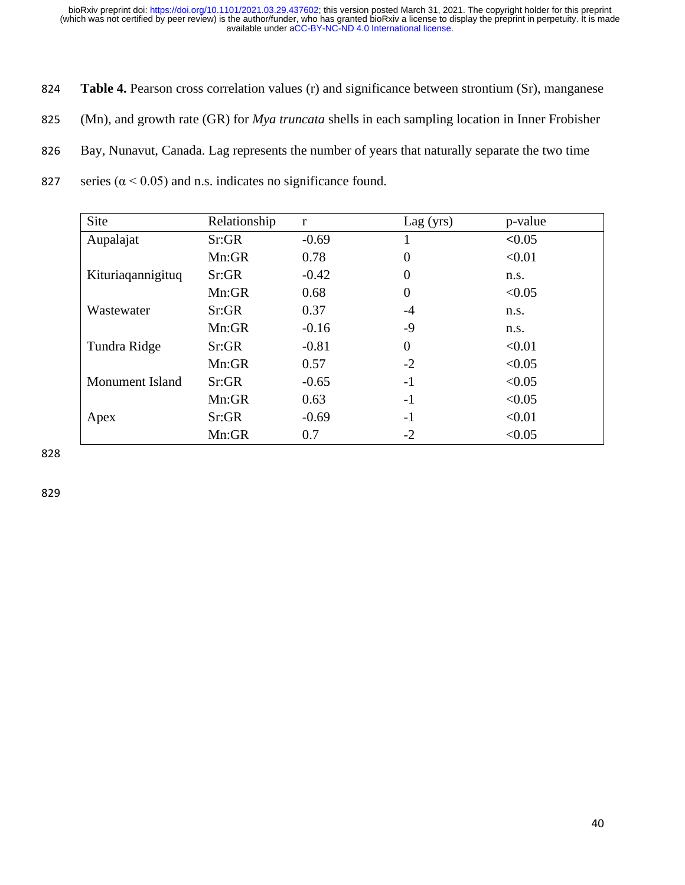- 824 **Table 4.** Pearson cross correlation values (r) and significance between strontium (Sr), manganese
- 825 (Mn), and growth rate (GR) for *Mya truncata* shells in each sampling location in Inner Frobisher
- 826 Bay, Nunavut, Canada. Lag represents the number of years that naturally separate the two time
- 827 series ( $\alpha$  < 0.05) and n.s. indicates no significance found.

| Site              | Relationship | r       | Lag(yrs)       | p-value |
|-------------------|--------------|---------|----------------|---------|
| Aupalajat         | Sr:GR        | $-0.69$ |                | < 0.05  |
|                   | Mn:GR        | 0.78    | $\overline{0}$ | < 0.01  |
| Kituriaqannigituq | Sr:GR        | $-0.42$ | $\overline{0}$ | n.s.    |
|                   | Mn:GR        | 0.68    | $\overline{0}$ | < 0.05  |
| Wastewater        | Sr:GR        | 0.37    | $-4$           | n.s.    |
|                   | Mn:GR        | $-0.16$ | -9             | n.s.    |
| Tundra Ridge      | Sr:GR        | $-0.81$ | $\overline{0}$ | < 0.01  |
|                   | Mn:GR        | 0.57    | $-2$           | < 0.05  |
| Monument Island   | Sr:GR        | $-0.65$ | $-1$           | < 0.05  |
|                   | Mn:GR        | 0.63    | $-1$           | < 0.05  |
| Apex              | Sr:GR        | $-0.69$ | $-1$           | < 0.01  |
|                   | Mn:GR        | 0.7     | $-2$           | < 0.05  |

828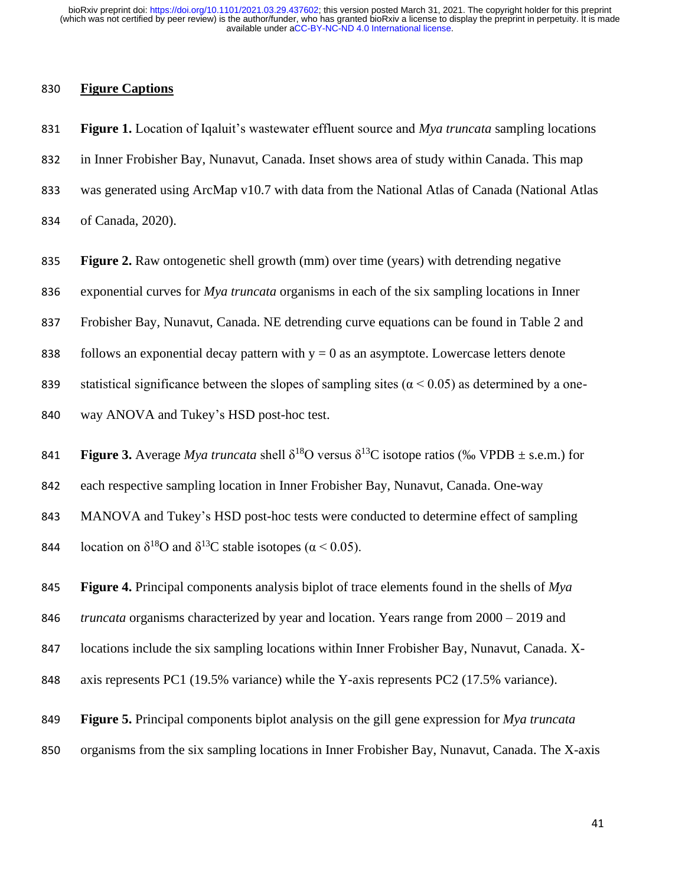#### **Figure Captions**

 **Figure 1.** Location of Iqaluit's wastewater effluent source and *Mya truncata* sampling locations in Inner Frobisher Bay, Nunavut, Canada. Inset shows area of study within Canada. This map was generated using ArcMap v10.7 with data from the National Atlas of Canada (National Atlas of Canada, 2020).

**Figure 2.** Raw ontogenetic shell growth (mm) over time (years) with detrending negative

exponential curves for *Mya truncata* organisms in each of the six sampling locations in Inner

Frobisher Bay, Nunavut, Canada. NE detrending curve equations can be found in Table 2 and

838 follows an exponential decay pattern with  $y = 0$  as an asymptote. Lowercase letters denote

839 statistical significance between the slopes of sampling sites ( $\alpha$  < 0.05) as determined by a one-

way ANOVA and Tukey's HSD post-hoc test.

**Figure 3.** Average *Mya truncata* shell  $\delta^{18}O$  versus  $\delta^{13}C$  isotope ratios (‰ VPDB  $\pm$  s.e.m.) for

each respective sampling location in Inner Frobisher Bay, Nunavut, Canada. One-way

MANOVA and Tukey's HSD post-hoc tests were conducted to determine effect of sampling

844 Iocation on  $\delta^{18}$ O and  $\delta^{13}$ C stable isotopes (α < 0.05).

**Figure 4.** Principal components analysis biplot of trace elements found in the shells of *Mya* 

*truncata* organisms characterized by year and location. Years range from 2000 – 2019 and

locations include the six sampling locations within Inner Frobisher Bay, Nunavut, Canada. X-

848 axis represents PC1 (19.5% variance) while the Y-axis represents PC2 (17.5% variance).

**Figure 5.** Principal components biplot analysis on the gill gene expression for *Mya truncata* 

organisms from the six sampling locations in Inner Frobisher Bay, Nunavut, Canada. The X-axis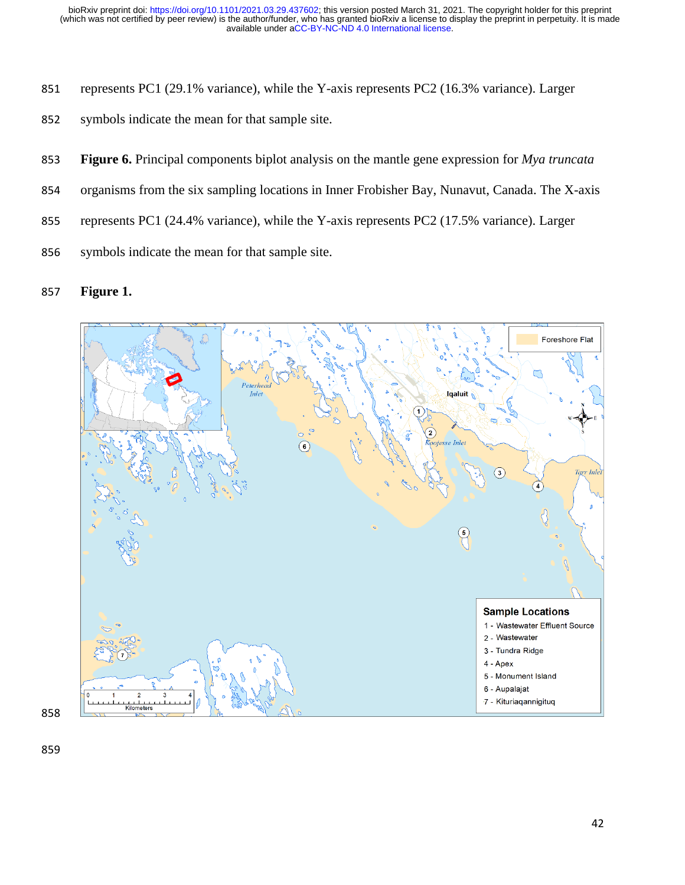- represents PC1 (29.1% variance), while the Y-axis represents PC2 (16.3% variance). Larger
- symbols indicate the mean for that sample site.
- **Figure 6.** Principal components biplot analysis on the mantle gene expression for *Mya truncata*
- organisms from the six sampling locations in Inner Frobisher Bay, Nunavut, Canada. The X-axis
- represents PC1 (24.4% variance), while the Y-axis represents PC2 (17.5% variance). Larger
- symbols indicate the mean for that sample site.

#### **Figure 1.**

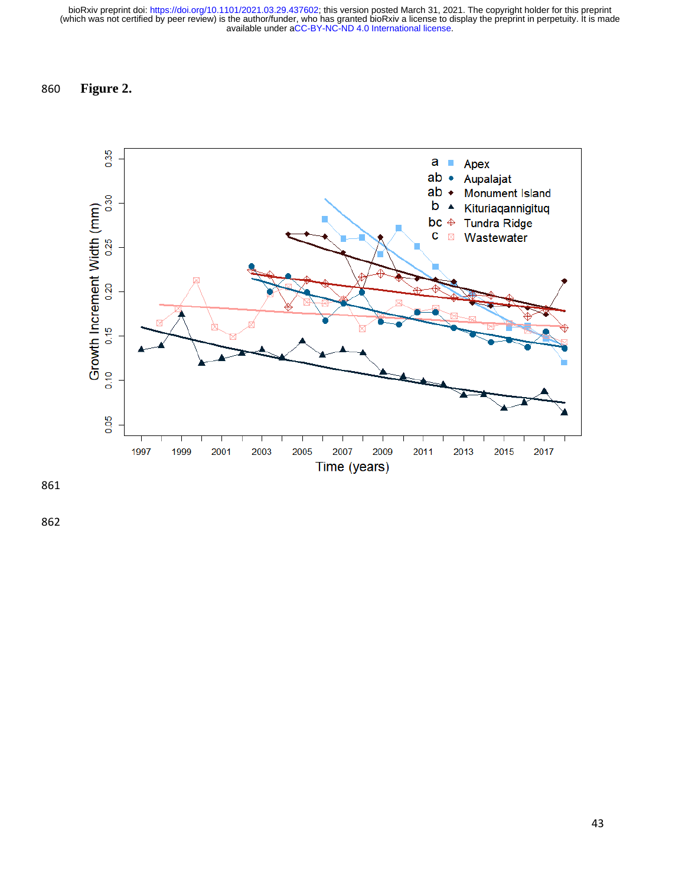# 860 **Figure 2.**



861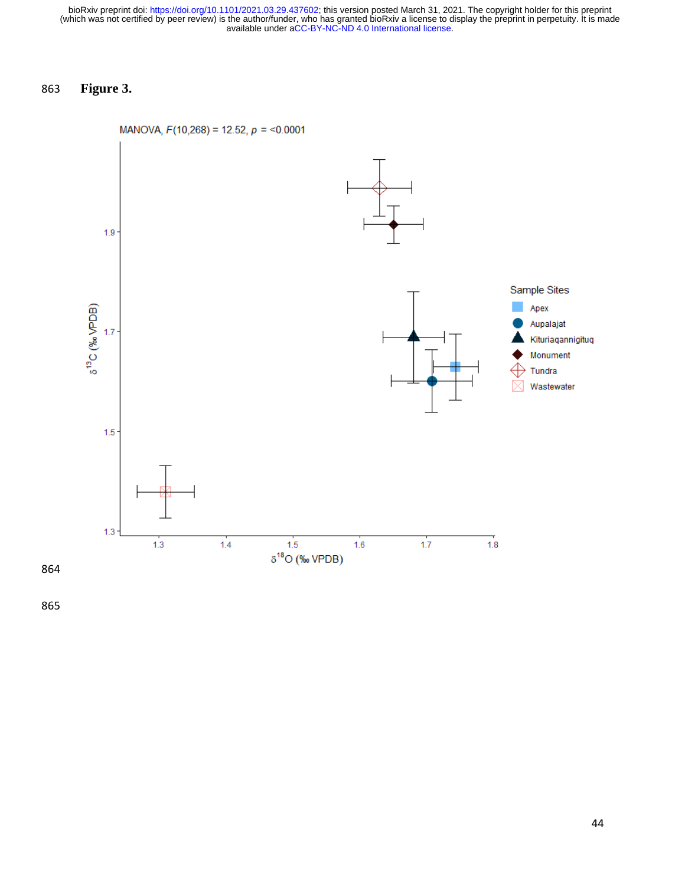# 863 **Figure 3.**



MANOVA,  $F(10,268) = 12.52$ ,  $p = 0.0001$ 

865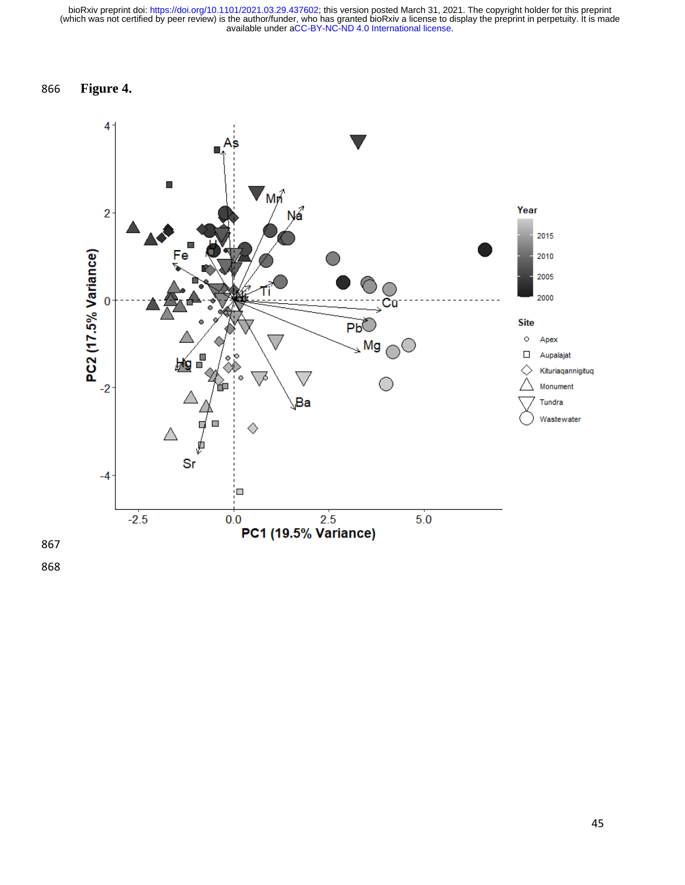# 866 **Figure 4.**

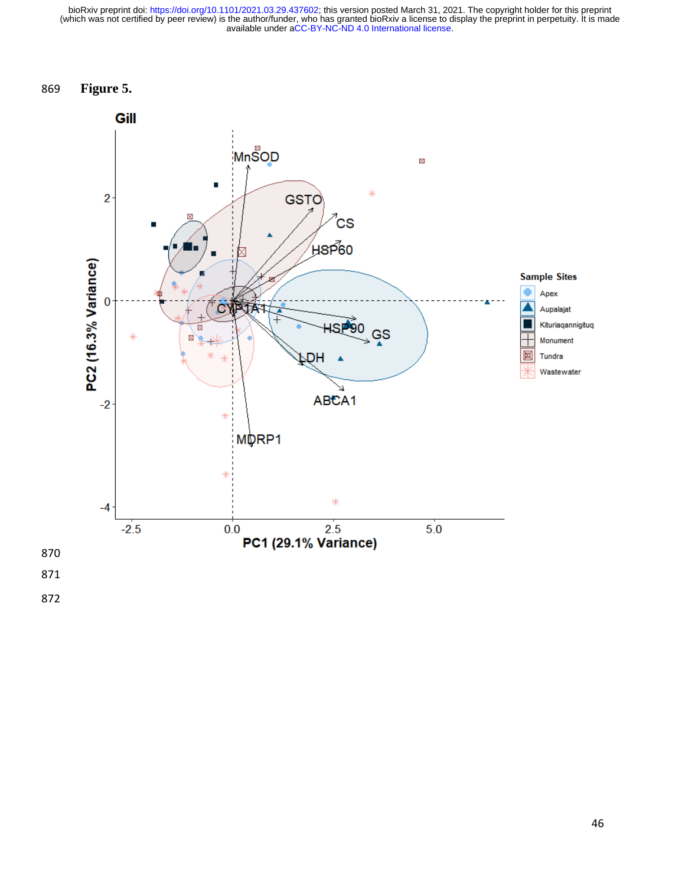